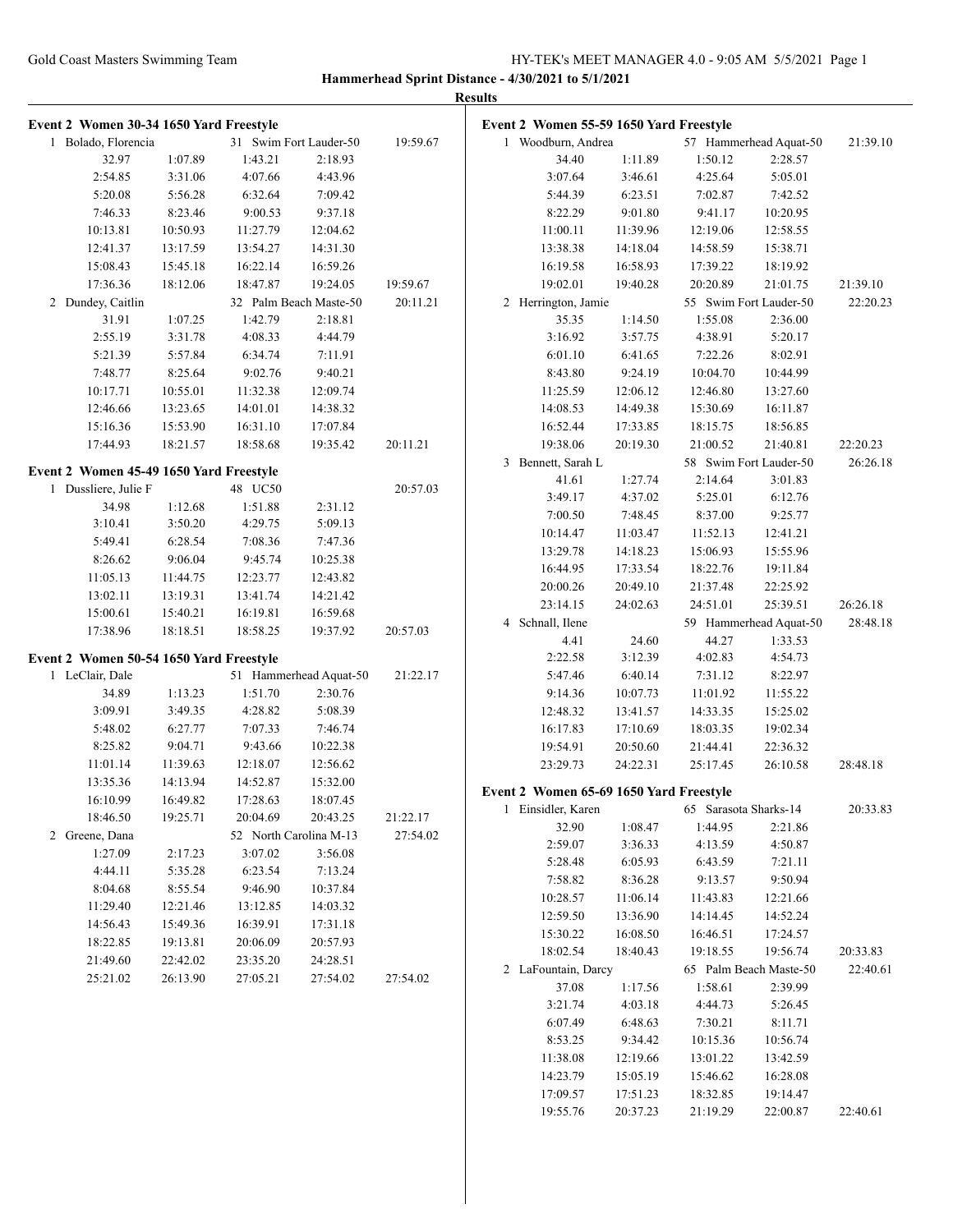|                                         |          |                        |                        |          | <b>Results</b> |                                         |          |                       |                        |          |
|-----------------------------------------|----------|------------------------|------------------------|----------|----------------|-----------------------------------------|----------|-----------------------|------------------------|----------|
| Event 2 Women 30-34 1650 Yard Freestyle |          |                        |                        |          |                | Event 2 Women 55-59 1650 Yard Freestyle |          |                       |                        |          |
| 1 Bolado, Florencia                     |          |                        | 31 Swim Fort Lauder-50 | 19:59.67 |                | 1 Woodburn, Andrea                      |          |                       | 57 Hammerhead Aquat-50 | 21:39.10 |
| 32.97                                   | 1:07.89  | 1:43.21                | 2:18.93                |          |                | 34.40                                   | 1:11.89  | 1:50.12               | 2:28.57                |          |
| 2:54.85                                 | 3:31.06  | 4:07.66                | 4:43.96                |          |                | 3:07.64                                 | 3:46.61  | 4:25.64               | 5:05.01                |          |
| 5:20.08                                 | 5:56.28  | 6:32.64                | 7:09.42                |          |                | 5:44.39                                 | 6:23.51  | 7:02.87               | 7:42.52                |          |
| 7:46.33                                 | 8:23.46  | 9:00.53                | 9:37.18                |          |                | 8:22.29                                 | 9:01.80  | 9:41.17               | 10:20.95               |          |
| 10:13.81                                | 10:50.93 | 11:27.79               | 12:04.62               |          |                | 11:00.11                                | 11:39.96 | 12:19.06              | 12:58.55               |          |
| 12:41.37                                | 13:17.59 | 13:54.27               | 14:31.30               |          |                | 13:38.38                                | 14:18.04 | 14:58.59              | 15:38.71               |          |
| 15:08.43                                | 15:45.18 | 16:22.14               | 16:59.26               |          |                | 16:19.58                                | 16:58.93 | 17:39.22              | 18:19.92               |          |
| 17:36.36                                | 18:12.06 | 18:47.87               | 19:24.05               | 19:59.67 |                | 19:02.01                                | 19:40.28 | 20:20.89              | 21:01.75               | 21:39.10 |
| 2 Dundey, Caitlin                       |          |                        | 32 Palm Beach Maste-50 | 20:11.21 |                | 2 Herrington, Jamie                     |          |                       | 55 Swim Fort Lauder-50 | 22:20.23 |
| 31.91                                   | 1:07.25  | 1:42.79                | 2:18.81                |          |                | 35.35                                   | 1:14.50  | 1:55.08               | 2:36.00                |          |
| 2:55.19                                 | 3:31.78  | 4:08.33                | 4:44.79                |          |                | 3:16.92                                 | 3:57.75  | 4:38.91               | 5:20.17                |          |
| 5:21.39                                 | 5:57.84  | 6:34.74                | 7:11.91                |          |                | 6:01.10                                 | 6:41.65  | 7:22.26               | 8:02.91                |          |
| 7:48.77                                 | 8:25.64  | 9:02.76                | 9:40.21                |          |                | 8:43.80                                 | 9:24.19  | 10:04.70              | 10:44.99               |          |
| 10:17.71                                | 10:55.01 | 11:32.38               | 12:09.74               |          |                | 11:25.59                                | 12:06.12 | 12:46.80              | 13:27.60               |          |
| 12:46.66                                | 13:23.65 | 14:01.01               | 14:38.32               |          |                | 14:08.53                                | 14:49.38 | 15:30.69              | 16:11.87               |          |
| 15:16.36                                | 15:53.90 | 16:31.10               | 17:07.84               |          |                | 16:52.44                                | 17:33.85 | 18:15.75              | 18:56.85               |          |
| 17:44.93                                | 18:21.57 | 18:58.68               | 19:35.42               | 20:11.21 |                | 19:38.06                                | 20:19.30 | 21:00.52              | 21:40.81               | 22:20.23 |
|                                         |          |                        |                        |          |                | 3 Bennett, Sarah L                      |          |                       | 58 Swim Fort Lauder-50 | 26:26.18 |
| Event 2 Women 45-49 1650 Yard Freestyle |          |                        |                        |          |                | 41.61                                   | 1:27.74  | 2:14.64               | 3:01.83                |          |
| 1 Dussliere, Julie F                    |          | 48 UC50                |                        | 20:57.03 |                | 3:49.17                                 | 4:37.02  | 5:25.01               | 6:12.76                |          |
| 34.98                                   | 1:12.68  | 1:51.88                | 2:31.12                |          |                | 7:00.50                                 | 7:48.45  | 8:37.00               | 9:25.77                |          |
| 3:10.41                                 | 3:50.20  | 4:29.75                | 5:09.13                |          |                | 10:14.47                                | 11:03.47 | 11:52.13              | 12:41.21               |          |
| 5:49.41                                 | 6:28.54  | 7:08.36                | 7:47.36                |          |                | 13:29.78                                | 14:18.23 | 15:06.93              | 15:55.96               |          |
| 8:26.62                                 | 9:06.04  | 9:45.74                | 10:25.38               |          |                | 16:44.95                                | 17:33.54 | 18:22.76              | 19:11.84               |          |
| 11:05.13                                | 11:44.75 | 12:23.77               | 12:43.82               |          |                | 20:00.26                                | 20:49.10 | 21:37.48              | 22:25.92               |          |
| 13:02.11                                | 13:19.31 | 13:41.74               | 14:21.42               |          |                | 23:14.15                                | 24:02.63 | 24:51.01              | 25:39.51               | 26:26.18 |
| 15:00.61                                | 15:40.21 | 16:19.81               | 16:59.68               |          |                | 4 Schnall, Ilene                        |          |                       | 59 Hammerhead Aquat-50 | 28:48.18 |
| 17:38.96                                | 18:18.51 | 18:58.25               | 19:37.92               | 20:57.03 |                | 4.41                                    | 24.60    | 44.27                 | 1:33.53                |          |
| Event 2 Women 50-54 1650 Yard Freestyle |          |                        |                        |          |                | 2:22.58                                 | 3:12.39  | 4:02.83               | 4:54.73                |          |
| 1 LeClair, Dale                         |          |                        | 51 Hammerhead Aquat-50 | 21:22.17 |                | 5:47.46                                 | 6:40.14  | 7:31.12               | 8:22.97                |          |
| 34.89                                   | 1:13.23  | 1:51.70                | 2:30.76                |          |                | 9:14.36                                 | 10:07.73 | 11:01.92              | 11:55.22               |          |
| 3:09.91                                 | 3:49.35  | 4:28.82                | 5:08.39                |          |                | 12:48.32                                | 13:41.57 | 14:33.35              | 15:25.02               |          |
| 5:48.02                                 | 6:27.77  | 7:07.33                | 7:46.74                |          |                | 16:17.83                                | 17:10.69 | 18:03.35              | 19:02.34               |          |
| 8:25.82                                 | 9:04.71  | 9:43.66                | 10:22.38               |          |                | 19:54.91                                | 20:50.60 | 21:44.41              | 22:36.32               |          |
| 11:01.14                                | 11:39.63 | 12:18.07               | 12:56.62               |          |                | 23:29.73                                | 24:22.31 | 25:17.45              | 26:10.58               | 28:48.18 |
| 13:35.36                                | 14:13.94 | 14:52.87               | 15:32.00               |          |                |                                         |          |                       |                        |          |
| 16:10.99                                | 16:49.82 | 17:28.63               | 18:07.45               |          |                | Event 2 Women 65-69 1650 Yard Freestyle |          |                       |                        |          |
| 18:46.50                                | 19:25.71 | 20:04.69               | 20:43.25               | 21:22.17 |                | 1 Einsidler, Karen                      |          | 65 Sarasota Sharks-14 |                        | 20:33.83 |
| 2 Greene, Dana                          |          | 52 North Carolina M-13 |                        | 27:54.02 |                | 32.90                                   | 1:08.47  | 1:44.95               | 2:21.86                |          |
| 1:27.09                                 | 2:17.23  | 3:07.02                | 3:56.08                |          |                | 2:59.07                                 | 3:36.33  | 4:13.59               | 4:50.87                |          |
| 4:44.11                                 | 5:35.28  | 6:23.54                | 7:13.24                |          |                | 5:28.48                                 | 6:05.93  | 6:43.59               | 7:21.11                |          |
| 8:04.68                                 | 8:55.54  | 9:46.90                | 10:37.84               |          |                | 7:58.82                                 | 8:36.28  | 9:13.57               | 9:50.94                |          |
| 11:29.40                                | 12:21.46 | 13:12.85               | 14:03.32               |          |                | 10:28.57                                | 11:06.14 | 11:43.83              | 12:21.66               |          |
| 14:56.43                                | 15:49.36 | 16:39.91               | 17:31.18               |          |                | 12:59.50                                | 13:36.90 | 14:14.45              | 14:52.24               |          |
| 18:22.85                                | 19:13.81 | 20:06.09               | 20:57.93               |          |                | 15:30.22                                | 16:08.50 | 16:46.51              | 17:24.57               |          |
| 21:49.60                                | 22:42.02 | 23:35.20               | 24:28.51               |          |                | 18:02.54                                | 18:40.43 | 19:18.55              | 19:56.74               | 20:33.83 |
| 25:21.02                                | 26:13.90 | 27:05.21               | 27:54.02               | 27:54.02 |                | 2 LaFountain, Darcy                     |          |                       | 65 Palm Beach Maste-50 | 22:40.61 |
|                                         |          |                        |                        |          |                | 37.08                                   | 1:17.56  | 1:58.61               | 2:39.99                |          |
|                                         |          |                        |                        |          |                | 3:21.74                                 | 4:03.18  | 4:44.73               | 5:26.45                |          |
|                                         |          |                        |                        |          |                | 6:07.49                                 | 6:48.63  | 7:30.21               | 8:11.71                |          |
|                                         |          |                        |                        |          |                | 8:53.25                                 | 9:34.42  | 10:15.36              | 10:56.74               |          |
|                                         |          |                        |                        |          |                | 11:38.08                                | 12:19.66 | 13:01.22              | 13:42.59               |          |
|                                         |          |                        |                        |          |                | 14:23.79                                | 15:05.19 | 15:46.62              | 16:28.08               |          |
|                                         |          |                        |                        |          |                | 17:09.57                                | 17:51.23 | 18:32.85              | 19:14.47               |          |
|                                         |          |                        |                        |          |                | 19:55.76                                | 20:37.23 | 21:19.29              | 22:00.87               | 22:40.61 |
|                                         |          |                        |                        |          |                |                                         |          |                       |                        |          |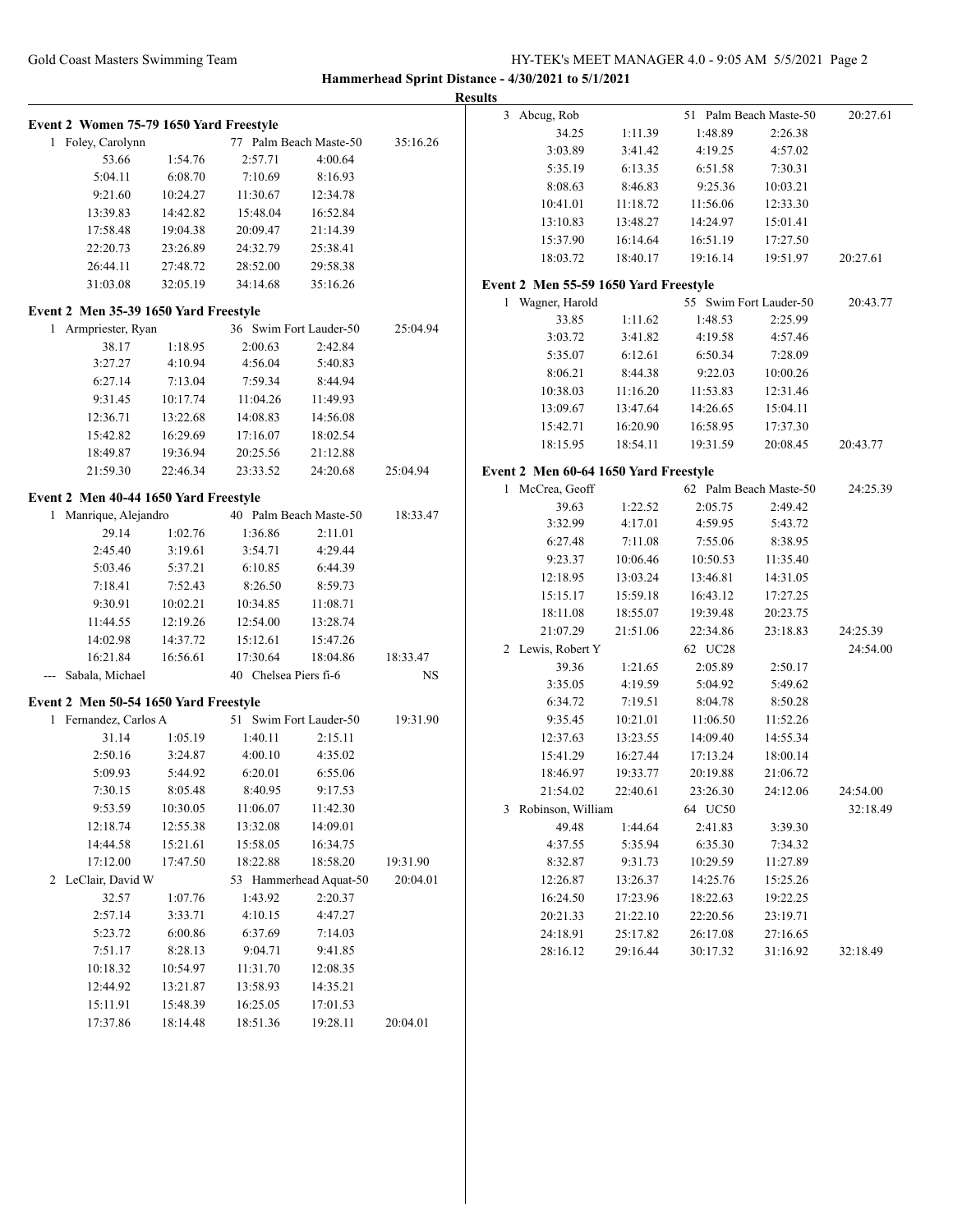### Gold Coast Masters Swimming Team HY-TEK's MEET MANAGER 4.0 - 9:05 AM 5/5/2021 Page 2

**Hammerhead Sprint Distance - 4/30/2021 to 5/1/2021**

|                                                              |          |                        |                        |           | 3 Abcug, Rob                          |          |          | 51 Palm Beach Maste-50 | 20:27.61 |
|--------------------------------------------------------------|----------|------------------------|------------------------|-----------|---------------------------------------|----------|----------|------------------------|----------|
| Event 2 Women 75-79 1650 Yard Freestyle                      |          |                        |                        |           | 34.25                                 | 1:11.39  | 1:48.89  | 2:26.38                |          |
| 1 Foley, Carolynn                                            |          |                        | 77 Palm Beach Maste-50 | 35:16.26  | 3:03.89                               | 3:41.42  | 4:19.25  | 4:57.02                |          |
| 53.66                                                        | 1:54.76  | 2:57.71                | 4:00.64                |           | 5:35.19                               | 6:13.35  | 6:51.58  | 7:30.31                |          |
| 5:04.11                                                      | 6:08.70  | 7:10.69                | 8:16.93                |           | 8:08.63                               | 8:46.83  | 9:25.36  | 10:03.21               |          |
| 9:21.60                                                      | 10:24.27 | 11:30.67               | 12:34.78               |           |                                       |          |          |                        |          |
| 13:39.83                                                     | 14:42.82 | 15:48.04               | 16:52.84               |           | 10:41.01                              | 11:18.72 | 11:56.06 | 12:33.30               |          |
| 17:58.48                                                     | 19:04.38 | 20:09.47               | 21:14.39               |           | 13:10.83                              | 13:48.27 | 14:24.97 | 15:01.41               |          |
| 22:20.73                                                     | 23:26.89 | 24:32.79               | 25:38.41               |           | 15:37.90                              | 16:14.64 | 16:51.19 | 17:27.50               |          |
| 26:44.11                                                     | 27:48.72 | 28:52.00               | 29:58.38               |           | 18:03.72                              | 18:40.17 | 19:16.14 | 19:51.97               | 20:27.61 |
| 31:03.08                                                     | 32:05.19 | 34:14.68               | 35:16.26               |           | Event 2 Men 55-59 1650 Yard Freestyle |          |          |                        |          |
|                                                              |          |                        |                        |           | 1 Wagner, Harold                      |          |          | 55 Swim Fort Lauder-50 | 20:43.77 |
| Event 2 Men 35-39 1650 Yard Freestyle<br>1 Armpriester, Ryan |          | 36 Swim Fort Lauder-50 |                        | 25:04.94  | 33.85                                 | 1:11.62  | 1:48.53  | 2:25.99                |          |
| 38.17                                                        | 1:18.95  | 2:00.63                | 2:42.84                |           | 3:03.72                               | 3:41.82  | 4:19.58  | 4:57.46                |          |
|                                                              |          |                        |                        |           | 5:35.07                               | 6:12.61  | 6:50.34  | 7:28.09                |          |
| 3:27.27                                                      | 4:10.94  | 4:56.04                | 5:40.83                |           | 8:06.21                               | 8:44.38  | 9:22.03  | 10:00.26               |          |
| 6:27.14                                                      | 7:13.04  | 7:59.34                | 8:44.94                |           | 10:38.03                              | 11:16.20 | 11:53.83 | 12:31.46               |          |
| 9:31.45                                                      | 10:17.74 | 11:04.26               | 11:49.93               |           | 13:09.67                              | 13:47.64 | 14:26.65 | 15:04.11               |          |
| 12:36.71                                                     | 13:22.68 | 14:08.83               | 14:56.08               |           | 15:42.71                              | 16:20.90 | 16:58.95 | 17:37.30               |          |
| 15:42.82                                                     | 16:29.69 | 17:16.07               | 18:02.54               |           | 18:15.95                              | 18:54.11 | 19:31.59 | 20:08.45               | 20:43.77 |
| 18:49.87                                                     | 19:36.94 | 20:25.56               | 21:12.88               |           |                                       |          |          |                        |          |
| 21:59.30                                                     | 22:46.34 | 23:33.52               | 24:20.68               | 25:04.94  | Event 2 Men 60-64 1650 Yard Freestyle |          |          |                        |          |
| Event 2 Men 40-44 1650 Yard Freestyle                        |          |                        |                        |           | 1 McCrea, Geoff                       |          |          | 62 Palm Beach Maste-50 | 24:25.39 |
| 1 Manrique, Alejandro                                        |          |                        | 40 Palm Beach Maste-50 | 18:33.47  | 39.63                                 | 1:22.52  | 2:05.75  | 2:49.42                |          |
| 29.14                                                        | 1:02.76  | 1:36.86                | 2:11.01                |           | 3:32.99                               | 4:17.01  | 4:59.95  | 5:43.72                |          |
| 2:45.40                                                      | 3:19.61  | 3:54.71                | 4:29.44                |           | 6:27.48                               | 7:11.08  | 7:55.06  | 8:38.95                |          |
| 5:03.46                                                      | 5:37.21  | 6:10.85                | 6:44.39                |           | 9:23.37                               | 10:06.46 | 10:50.53 | 11:35.40               |          |
| 7:18.41                                                      | 7:52.43  | 8:26.50                | 8:59.73                |           | 12:18.95                              | 13:03.24 | 13:46.81 | 14:31.05               |          |
| 9:30.91                                                      | 10:02.21 | 10:34.85               | 11:08.71               |           | 15:15.17                              | 15:59.18 | 16:43.12 | 17:27.25               |          |
| 11:44.55                                                     | 12:19.26 | 12:54.00               | 13:28.74               |           | 18:11.08                              | 18:55.07 | 19:39.48 | 20:23.75               |          |
| 14:02.98                                                     | 14:37.72 | 15:12.61               | 15:47.26               |           | 21:07.29                              | 21:51.06 | 22:34.86 | 23:18.83               | 24:25.39 |
| 16:21.84                                                     | 16:56.61 | 17:30.64               | 18:04.86               | 18:33.47  | 2 Lewis, Robert Y                     |          | 62 UC28  |                        | 24:54.00 |
| --- Sabala, Michael                                          |          | 40 Chelsea Piers fi-6  |                        | <b>NS</b> | 39.36                                 | 1:21.65  | 2:05.89  | 2:50.17                |          |
|                                                              |          |                        |                        |           | 3:35.05                               | 4:19.59  | 5:04.92  | 5:49.62                |          |
| Event 2 Men 50-54 1650 Yard Freestyle                        |          |                        |                        |           | 6:34.72                               | 7:19.51  | 8:04.78  | 8:50.28                |          |
| 1 Fernandez, Carlos A                                        |          |                        | 51 Swim Fort Lauder-50 | 19:31.90  | 9:35.45                               | 10:21.01 | 11:06.50 | 11:52.26               |          |
| 31.14                                                        | 1:05.19  | 1:40.11                | 2:15.11                |           | 12:37.63                              | 13:23.55 | 14:09.40 | 14:55.34               |          |
| 2:50.16                                                      | 3:24.87  | 4:00.10                | 4:35.02                |           | 15:41.29                              | 16:27.44 | 17:13.24 | 18:00.14               |          |
| 5:09.93                                                      | 5:44.92  | 6:20.01                | 6:55.06                |           | 18:46.97                              | 19:33.77 | 20:19.88 | 21:06.72               |          |
| 7:30.15                                                      | 8:05.48  | 8:40.95                | 9:17.53                |           | 21:54.02                              | 22:40.61 | 23:26.30 | 24:12.06               | 24:54.00 |
| 9:53.59                                                      | 10:30.05 | 11:06.07               | 11:42.30               |           | 3 Robinson, William                   |          | 64 UC50  |                        | 32:18.49 |
| 12:18.74                                                     | 12:55.38 | 13:32.08               | 14:09.01               |           | 49.48                                 | 1:44.64  | 2:41.83  | 3:39.30                |          |
| 14:44.58                                                     | 15:21.61 | 15:58.05               | 16:34.75               |           | 4:37.55                               | 5:35.94  | 6:35.30  | 7:34.32                |          |
| 17:12.00                                                     | 17:47.50 | 18:22.88               | 18:58.20               | 19:31.90  | 8:32.87                               | 9:31.73  | 10:29.59 | 11:27.89               |          |
| 2 LeClair, David W                                           |          |                        | 53 Hammerhead Aquat-50 | 20:04.01  | 12:26.87                              | 13:26.37 | 14:25.76 | 15:25.26               |          |
| 32.57                                                        | 1:07.76  | 1:43.92                | 2:20.37                |           | 16:24.50                              | 17:23.96 | 18:22.63 | 19:22.25               |          |
| 2:57.14                                                      | 3:33.71  | 4:10.15                | 4:47.27                |           | 20:21.33                              | 21:22.10 | 22:20.56 | 23:19.71               |          |
| 5:23.72                                                      | 6:00.86  | 6:37.69                | 7:14.03                |           | 24:18.91                              | 25:17.82 | 26:17.08 | 27:16.65               |          |
| 7:51.17                                                      | 8:28.13  | 9:04.71                | 9:41.85                |           | 28:16.12                              | 29:16.44 | 30:17.32 | 31:16.92               | 32:18.49 |
| 10:18.32                                                     | 10:54.97 | 11:31.70               | 12:08.35               |           |                                       |          |          |                        |          |
| 12:44.92                                                     | 13:21.87 | 13:58.93               | 14:35.21               |           |                                       |          |          |                        |          |
| 15:11.91                                                     | 15:48.39 | 16:25.05               | 17:01.53               |           |                                       |          |          |                        |          |
| 17:37.86                                                     | 18:14.48 | 18:51.36               | 19:28.11               | 20:04.01  |                                       |          |          |                        |          |
|                                                              |          |                        |                        |           |                                       |          |          |                        |          |
|                                                              |          |                        |                        |           |                                       |          |          |                        |          |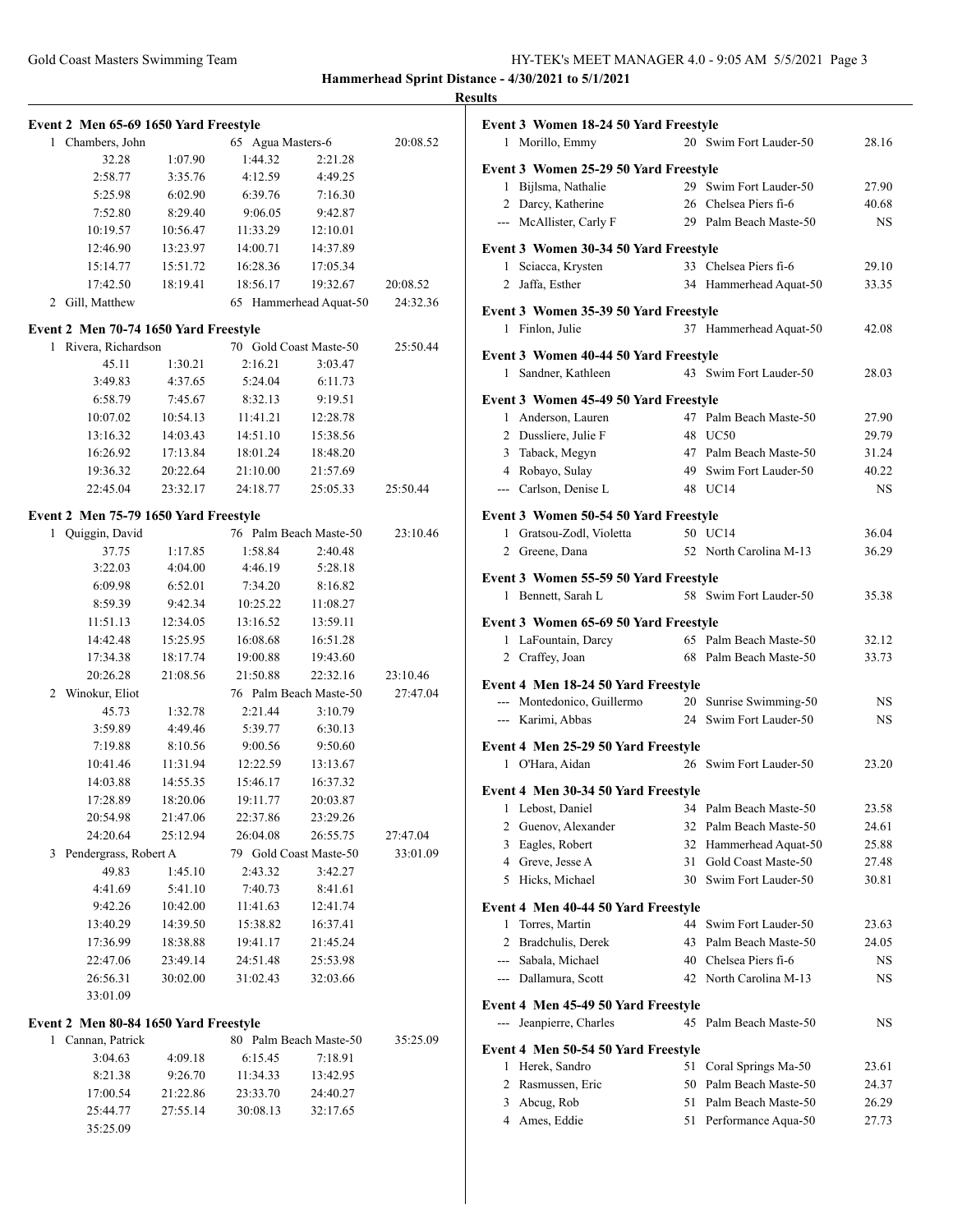|   |                                       |          |                        |                        |          | <b>Results</b> |
|---|---------------------------------------|----------|------------------------|------------------------|----------|----------------|
|   | Event 2 Men 65-69 1650 Yard Freestyle |          |                        |                        |          | $E_{\bf V}$    |
|   | 1 Chambers, John                      |          | 65 Agua Masters-6      |                        | 20:08.52 |                |
|   | 32.28                                 | 1:07.90  | 1:44.32                | 2:21.28                |          | Ev             |
|   | 2:58.77                               | 3:35.76  | 4:12.59                | 4:49.25                |          |                |
|   | 5:25.98                               | 6:02.90  | 6:39.76                | 7:16.30                |          |                |
|   | 7:52.80                               | 8:29.40  | 9:06.05                | 9:42.87                |          |                |
|   | 10:19.57                              | 10:56.47 | 11:33.29               | 12:10.01               |          |                |
|   | 12:46.90                              | 13:23.97 | 14:00.71               | 14:37.89               |          | Ev             |
|   | 15:14.77                              | 15:51.72 | 16:28.36               | 17:05.34               |          |                |
|   | 17:42.50                              | 18:19.41 | 18:56.17               | 19:32.67               | 20:08.52 |                |
|   | 2 Gill, Matthew                       |          |                        | 65 Hammerhead Aquat-50 | 24:32.36 | $E_{\bf V}$    |
|   | Event 2 Men 70-74 1650 Yard Freestyle |          |                        |                        |          |                |
|   | 1 Rivera, Richardson                  |          | 70 Gold Coast Maste-50 |                        | 25:50.44 | Ev             |
|   | 45.11                                 | 1:30.21  | 2:16.21                | 3:03.47                |          |                |
|   | 3:49.83                               | 4:37.65  | 5:24.04                | 6:11.73                |          |                |
|   | 6:58.79                               | 7:45.67  | 8:32.13                | 9:19.51                |          | $E_{\bf V}$    |
|   | 10:07.02                              | 10:54.13 | 11:41.21               | 12:28.78               |          |                |
|   | 13:16.32                              | 14:03.43 | 14:51.10               | 15:38.56               |          |                |
|   | 16:26.92                              | 17:13.84 | 18:01.24               | 18:48.20               |          |                |
|   | 19:36.32                              | 20:22.64 | 21:10.00               | 21:57.69               |          |                |
|   | 22:45.04                              | 23:32.17 | 24:18.77               | 25:05.33               | 25:50.44 |                |
|   | Event 2 Men 75-79 1650 Yard Freestyle |          |                        |                        |          | Ev             |
|   | 1 Quiggin, David                      |          |                        | 76 Palm Beach Maste-50 | 23:10.46 |                |
|   | 37.75                                 | 1:17.85  | 1:58.84                | 2:40.48                |          |                |
|   | 3:22.03                               | 4:04.00  | 4:46.19                | 5:28.18                |          | Ev             |
|   | 6:09.98                               | 6:52.01  | 7:34.20                | 8:16.82                |          |                |
|   | 8:59.39                               | 9:42.34  | 10:25.22               | 11:08.27               |          |                |
|   | 11:51.13                              | 12:34.05 | 13:16.52               | 13:59.11               |          | Ev             |
|   | 14:42.48                              | 15:25.95 | 16:08.68               | 16:51.28               |          |                |
|   | 17:34.38                              | 18:17.74 | 19:00.88               | 19:43.60               |          |                |
|   | 20:26.28                              | 21:08.56 | 21:50.88               | 22:32.16               | 23:10.46 |                |
|   | 2 Winokur, Eliot                      |          |                        | 76 Palm Beach Maste-50 | 27:47.04 | Ev             |
|   | 45.73                                 | 1:32.78  | 2:21.44                | 3:10.79                |          |                |
|   | 3:59.89                               | 4:49.46  | 5:39.77                | 6:30.13                |          |                |
|   | 7:19.88                               | 8:10.56  | 9:00.56                | 9:50.60                |          | Ev             |
|   | 10:41.46                              | 11:31.94 | 12:22.59               | 13:13.67               |          |                |
|   | 14:03.88                              | 14:55.35 | 15:46.17               | 16:37.32               |          |                |
|   | 17:28.89                              | 18:20.06 | 19:11.77               | 20:03.87               |          | Ev             |
|   | 20:54.98                              | 21:47.06 | 22:37.86               | 23:29.26               |          |                |
|   | 24:20.64                              | 25:12.94 | 26:04.08               | 26:55.75               | 27:47.04 |                |
| 3 | Pendergrass, Robert A                 |          |                        | 79 Gold Coast Maste-50 | 33:01.09 |                |
|   | 49.83                                 | 1:45.10  | 2:43.32                | 3:42.27                |          |                |
|   | 4:41.69                               | 5:41.10  | 7:40.73                | 8:41.61                |          |                |
|   | 9:42.26                               | 10:42.00 | 11:41.63               | 12:41.74               |          | Ev             |
|   | 13:40.29                              | 14:39.50 | 15:38.82               | 16:37.41               |          |                |
|   | 17:36.99                              | 18:38.88 | 19:41.17               | 21:45.24               |          |                |
|   | 22:47.06                              | 23:49.14 | 24:51.48               | 25:53.98               |          |                |
|   | 26:56.31                              | 30:02.00 | 31:02.43               | 32:03.66               |          |                |
|   | 33:01.09                              |          |                        |                        |          |                |
|   | Event 2 Men 80-84 1650 Yard Freestyle |          |                        |                        |          | $E_{\bf V}$    |
|   | 1 Cannan, Patrick                     |          |                        | 80 Palm Beach Maste-50 | 35:25.09 |                |
|   | 3:04.63                               | 4:09.18  | 6:15.45                | 7:18.91                |          | $E_{\bf V}$    |
|   | 8:21.38                               | 9:26.70  | 11:34.33               | 13:42.95               |          |                |

17:00.54 21:22.86 23:33.70 24:40.27 25:44.77 27:55.14 30:08.13 32:17.65

35:25.09

|              | Event 3 Women 18-24 50 Yard Freestyle                        |          |                                               |                    |
|--------------|--------------------------------------------------------------|----------|-----------------------------------------------|--------------------|
|              | 1 Morillo, Emmy                                              |          | 20 Swim Fort Lauder-50                        | 28.16              |
|              |                                                              |          |                                               |                    |
|              | Event 3 Women 25-29 50 Yard Freestyle<br>1 Bijlsma, Nathalie |          | 29 Swim Fort Lauder-50                        | 27.90              |
|              | 2 Darcy, Katherine                                           |          | 26 Chelsea Piers fi-6                         | 40.68              |
|              | --- McAllister, Carly F                                      |          | 29 Palm Beach Maste-50                        | <b>NS</b>          |
|              |                                                              |          |                                               |                    |
|              | Event 3 Women 30-34 50 Yard Freestyle                        |          |                                               |                    |
|              | 1 Sciacca, Krysten                                           |          | 33 Chelsea Piers fi-6                         | 29.10              |
|              | 2 Jaffa, Esther                                              |          | 34 Hammerhead Aquat-50                        | 33.35              |
|              | Event 3 Women 35-39 50 Yard Freestyle                        |          |                                               |                    |
|              | 1 Finlon, Julie                                              |          | 37 Hammerhead Aquat-50                        | 42.08              |
|              | Event 3 Women 40-44 50 Yard Freestyle                        |          |                                               |                    |
|              | 1 Sandner, Kathleen                                          |          | 43 Swim Fort Lauder-50                        | 28.03              |
|              |                                                              |          |                                               |                    |
|              | Event 3 Women 45-49 50 Yard Freestyle                        |          |                                               |                    |
|              | 1 Anderson, Lauren                                           |          | 47 Palm Beach Maste-50                        | 27.90              |
|              | 2 Dussliere, Julie F                                         |          | 48 UC50                                       | 29.79              |
|              | 3 Taback, Megyn                                              |          | 47 Palm Beach Maste-50                        | 31.24              |
|              | 4 Robayo, Sulay<br>--- Carlson, Denise L                     |          | 49 Swim Fort Lauder-50<br>48 UC14             | 40.22<br><b>NS</b> |
|              |                                                              |          |                                               |                    |
|              | Event 3 Women 50-54 50 Yard Freestyle                        |          |                                               |                    |
|              | 1 Gratsou-Zodl, Violetta                                     |          | 50 UC14                                       | 36.04              |
|              | 2 Greene, Dana                                               |          | 52 North Carolina M-13                        | 36.29              |
|              | <b>Event 3 Women 55-59 50 Yard Freestyle</b>                 |          |                                               |                    |
|              | 1 Bennett, Sarah L                                           |          | 58 Swim Fort Lauder-50                        | 35.38              |
|              |                                                              |          |                                               |                    |
|              | Event 3 Women 65-69 50 Yard Freestyle                        |          |                                               |                    |
|              | 1 LaFountain, Darcy                                          |          | 65 Palm Beach Maste-50                        | 32.12              |
|              | 2 Craffey, Joan                                              |          | 68 Palm Beach Maste-50                        | 33.73              |
|              | <b>Event 4 Men 18-24 50 Yard Freestyle</b>                   |          |                                               |                    |
|              | --- Montedonico, Guillermo                                   |          | 20 Sunrise Swimming-50                        | NS                 |
|              | --- Karimi, Abbas                                            |          | 24 Swim Fort Lauder-50                        | <b>NS</b>          |
|              | Event 4 Men 25-29 50 Yard Freestyle                          |          |                                               |                    |
|              | 1 O'Hara, Aidan                                              |          | 26 Swim Fort Lauder-50                        | 23.20              |
|              |                                                              |          |                                               |                    |
|              | Event 4 Men 30-34 50 Yard Freestyle                          |          |                                               |                    |
| 1            | Lebost, Daniel                                               | 34       | Palm Beach Maste-50                           | 23.58              |
| 2            | Guenov, Alexander                                            | 32       | Palm Beach Maste-50                           | 24.61              |
| 3            | Eagles, Robert                                               | 32       | Hammerhead Aquat-50                           | 25.88              |
|              | 4 Greve, Jesse A<br>5 Hicks, Michael                         | 31       | Gold Coast Maste-50<br>30 Swim Fort Lauder-50 | 27.48              |
|              |                                                              |          |                                               | 30.81              |
|              | Event 4 Men 40-44 50 Yard Freestyle                          |          |                                               |                    |
| $\mathbf{1}$ | Torres, Martin                                               |          | 44 Swim Fort Lauder-50                        | 23.63              |
|              | 2 Bradchulis, Derek                                          | 43       | Palm Beach Maste-50                           | 24.05              |
|              | --- Sabala, Michael                                          |          | 40 Chelsea Piers fi-6                         | NS.                |
|              | --- Dallamura, Scott                                         |          | 42 North Carolina M-13                        | NS.                |
|              | Event 4 Men 45-49 50 Yard Freestyle                          |          |                                               |                    |
|              | --- Jeanpierre, Charles                                      |          | 45 Palm Beach Maste-50                        | NS                 |
|              |                                                              |          |                                               |                    |
|              | Event 4 Men 50-54 50 Yard Freestyle                          |          |                                               |                    |
| 1            | Herek, Sandro                                                | 51       | Coral Springs Ma-50                           | 23.61              |
| 2            | Rasmussen, Eric                                              | 50<br>51 | Palm Beach Maste-50                           | 24.37              |
| 3            | Abcug, Rob<br>4 Ames, Eddie                                  |          | Palm Beach Maste-50<br>51 Performance Aqua-50 | 26.29<br>27.73     |
|              |                                                              |          |                                               |                    |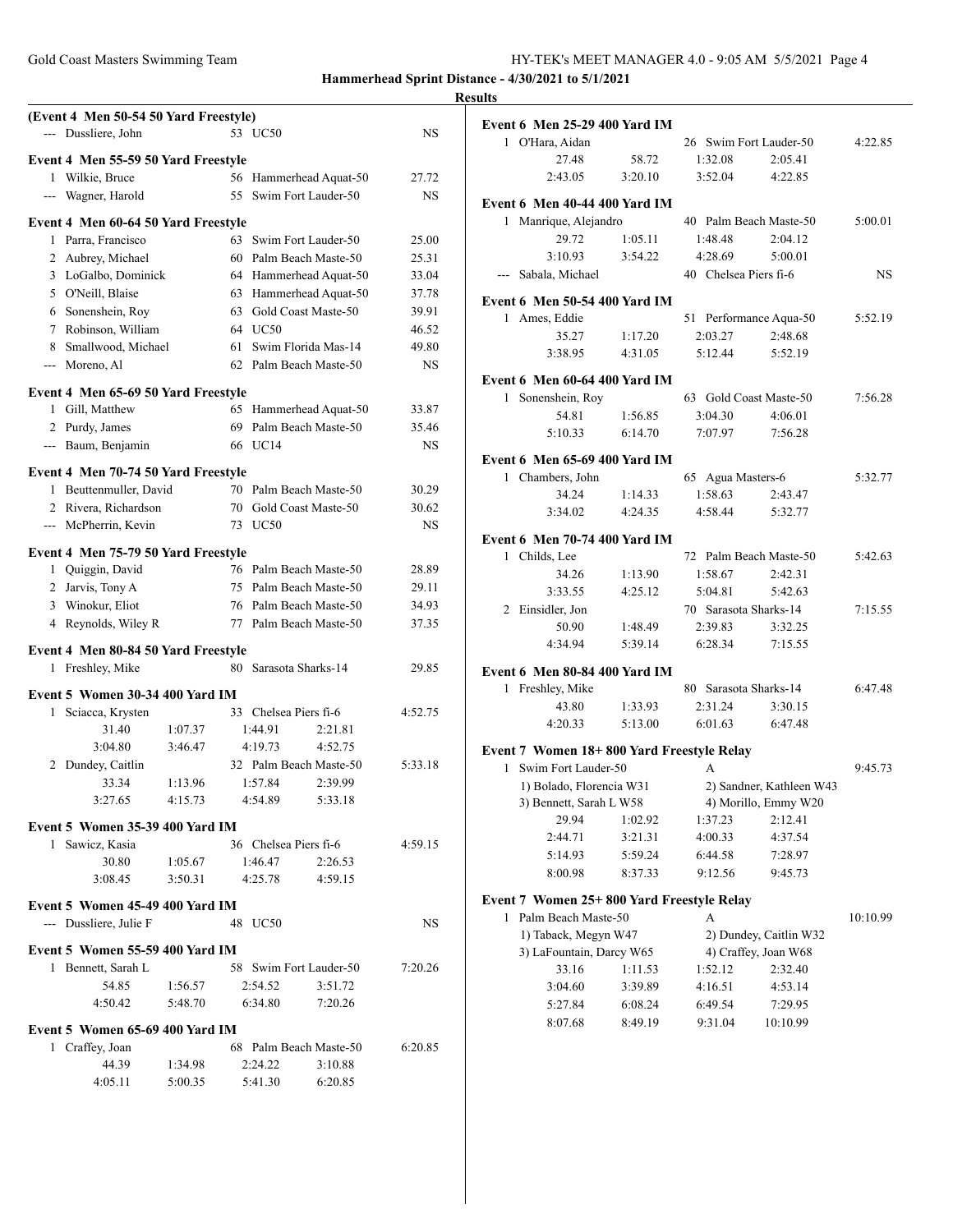| Gold Coast Masters Swimming Team | HY-TEK's MEET MANAGER 4.0 - 9:05 AM 5/5/2021 Page 4 |
|----------------------------------|-----------------------------------------------------|
|                                  |                                                     |

|              | (Event 4 Men 50-54 50 Yard Freestyle)<br>--- Dussliere, John |                    |    | 53 UC50               |                                   | NS        |
|--------------|--------------------------------------------------------------|--------------------|----|-----------------------|-----------------------------------|-----------|
|              |                                                              |                    |    |                       |                                   |           |
|              | Event 4 Men 55-59 50 Yard Freestyle<br>1 Wilkie, Bruce       |                    |    |                       | 56 Hammerhead Aquat-50            | 27.72     |
|              | --- Wagner, Harold                                           |                    |    |                       | 55 Swim Fort Lauder-50            | NS        |
|              |                                                              |                    |    |                       |                                   |           |
|              | Event 4 Men 60-64 50 Yard Freestyle                          |                    |    |                       |                                   |           |
|              | 1 Parra, Francisco                                           |                    |    |                       | 63 Swim Fort Lauder-50            | 25.00     |
|              | 2 Aubrey, Michael                                            |                    |    |                       | 60 Palm Beach Maste-50            | 25.31     |
|              | 3 LoGalbo, Dominick                                          |                    |    |                       | 64 Hammerhead Aquat-50            | 33.04     |
|              | 5 O'Neill, Blaise                                            |                    |    |                       | 63 Hammerhead Aquat-50            | 37.78     |
|              | 6 Sonenshein, Roy                                            |                    |    |                       | 63 Gold Coast Maste-50            | 39.91     |
|              | 7 Robinson, William                                          |                    |    | 64 UC50               |                                   | 46.52     |
|              | 8 Smallwood, Michael                                         |                    | 61 |                       | Swim Florida Mas-14               | 49.80     |
|              | --- Moreno, Al                                               |                    |    |                       | 62 Palm Beach Maste-50            | <b>NS</b> |
|              | Event 4 Men 65-69 50 Yard Freestyle                          |                    |    |                       |                                   |           |
|              | 1 Gill, Matthew                                              |                    |    |                       | 65 Hammerhead Aquat-50            | 33.87     |
|              | 2 Purdy, James                                               |                    |    |                       | 69 Palm Beach Maste-50            | 35.46     |
|              | --- Baum, Benjamin                                           |                    |    | 66 UC14               |                                   | <b>NS</b> |
|              | Event 4 Men 70-74 50 Yard Freestyle                          |                    |    |                       |                                   |           |
|              | 1 Beuttenmuller, David                                       |                    |    |                       | 70 Palm Beach Maste-50            | 30.29     |
|              | 2 Rivera, Richardson                                         |                    |    |                       | 70 Gold Coast Maste-50            | 30.62     |
|              | --- McPherrin, Kevin                                         |                    |    | 73 UC50               |                                   | <b>NS</b> |
|              | Event 4 Men 75-79 50 Yard Freestyle                          |                    |    |                       |                                   |           |
|              | 1 Quiggin, David                                             |                    |    |                       | 76 Palm Beach Maste-50            | 28.89     |
|              | 2 Jarvis, Tony A                                             |                    |    |                       | 75 Palm Beach Maste-50            | 29.11     |
|              | 3 Winokur, Eliot                                             |                    |    |                       | 76 Palm Beach Maste-50            | 34.93     |
|              | 4 Reynolds, Wiley R                                          |                    |    |                       | 77 Palm Beach Maste-50            | 37.35     |
|              | Event 4 Men 80-84 50 Yard Freestyle                          |                    |    |                       |                                   |           |
|              | 1 Freshley, Mike                                             |                    |    |                       | 80 Sarasota Sharks-14             | 29.85     |
|              |                                                              |                    |    |                       |                                   |           |
|              | Event 5 Women 30-34 400 Yard IM                              |                    |    |                       |                                   |           |
| 1            | Sciacca, Krysten                                             |                    |    | 33 Chelsea Piers fi-6 |                                   | 4:52.75   |
|              | 31.40<br>3:04.80                                             | 1:07.37<br>3:46.47 |    | 1:44.91<br>4:19.73    | 2:21.81<br>4:52.75                |           |
|              |                                                              |                    |    |                       |                                   | 5:33.18   |
|              | 2 Dundey, Caitlin<br>33.34                                   | 1:13.96            |    | 1:57.84               | 32 Palm Beach Maste-50<br>2:39.99 |           |
|              |                                                              |                    |    |                       | 5:33.18                           |           |
|              | 3:27.65                                                      | 4:15.73            |    | 4:54.89               |                                   |           |
|              | Event 5 Women 35-39 400 Yard IM                              |                    |    |                       |                                   |           |
| $\mathbf{1}$ | Sawicz, Kasia                                                |                    |    | 36 Chelsea Piers fi-6 |                                   | 4:59.15   |
|              | 30.80                                                        | 1:05.67            |    | 1:46.47               | 2:26.53                           |           |
|              | 3:08.45                                                      | 3:50.31            |    | 4:25.78               | 4:59.15                           |           |
|              | Event 5 Women 45-49 400 Yard IM                              |                    |    |                       |                                   |           |
|              | --- Dussliere, Julie F                                       |                    |    | 48 UC50               |                                   | <b>NS</b> |
|              | Event 5 Women 55-59 400 Yard IM                              |                    |    |                       |                                   |           |
|              | 1 Bennett, Sarah L                                           |                    |    |                       | 58 Swim Fort Lauder-50            | 7:20.26   |
|              | 54.85                                                        | 1:56.57            |    | 2:54.52               | 3:51.72                           |           |
|              | 4:50.42                                                      | 5:48.70            |    | 6:34.80               | 7:20.26                           |           |
|              | Event 5 Women 65-69 400 Yard IM                              |                    |    |                       |                                   |           |
|              | 1 Craffey, Joan                                              |                    |    |                       | 68 Palm Beach Maste-50            | 6:20.85   |
|              | 44.39                                                        | 1:34.98            |    | 2:24.22               | 3:10.88                           |           |
|              | 4:05.11                                                      | 5:00.35            |    | 5:41.30               | 6:20.85                           |           |
|              |                                                              |                    |    |                       |                                   |           |

| <b>Event 6 Men 25-29 400 Yard IM</b>                               |                    |                        |                                                  |          |
|--------------------------------------------------------------------|--------------------|------------------------|--------------------------------------------------|----------|
| 1 O'Hara, Aidan                                                    |                    | 26 Swim Fort Lauder-50 |                                                  | 4:22.85  |
| 27.48                                                              | 58.72              | 1:32.08                | 2:05.41                                          |          |
| 2:43.05                                                            | 3:20.10            | 3:52.04                | 4:22.85                                          |          |
|                                                                    |                    |                        |                                                  |          |
| Event 6 Men 40-44 400 Yard IM                                      |                    | 40 Palm Beach Maste-50 |                                                  | 5:00.01  |
| 1 Manrique, Alejandro<br>29.72                                     | 1:05.11            | 1:48.48                | 2:04.12                                          |          |
| 3:10.93                                                            | 3:54.22            | 4:28.69                | 5:00.01                                          |          |
| --- Sabala, Michael                                                |                    | 40 Chelsea Piers fi-6  |                                                  | NS.      |
|                                                                    |                    |                        |                                                  |          |
| Event 6 Men 50-54 400 Yard IM                                      |                    |                        |                                                  |          |
| 1 Ames, Eddie                                                      |                    |                        | 51 Performance Aqua-50                           | 5:52.19  |
| 35.27                                                              | 1:17.20            | 2:03.27                | 2:48.68                                          |          |
| 3:38.95                                                            | 4:31.05            | 5:12.44                | 5:52.19                                          |          |
| Event 6 Men 60-64 400 Yard IM                                      |                    |                        |                                                  |          |
| 1 Sonenshein, Roy                                                  |                    | 63 Gold Coast Maste-50 |                                                  | 7:56.28  |
| 54.81                                                              | 1:56.85            | 3:04.30                | 4:06.01                                          |          |
| 5:10.33                                                            | 6:14.70            | 7:07.97                | 7:56.28                                          |          |
|                                                                    |                    |                        |                                                  |          |
| Event 6 Men 65-69 400 Yard IM<br>1 Chambers, John                  |                    | 65 Agua Masters-6      |                                                  | 5:32.77  |
| 34.24                                                              | 1:14.33            | 1:58.63                | 2:43.47                                          |          |
| 3:34.02                                                            | 4:24.35            | 4:58.44                | 5:32.77                                          |          |
|                                                                    |                    |                        |                                                  |          |
| <b>Event 6 Men 70-74 400 Yard IM</b>                               |                    |                        |                                                  |          |
| 1 Childs, Lee                                                      |                    |                        | 72 Palm Beach Maste-50                           | 5:42.63  |
| 34.26                                                              | 1:13.90            | 1:58.67                | 2:42.31                                          |          |
| 3:33.55                                                            | 4:25.12            | 5:04.81                | 5:42.63                                          |          |
| 2 Einsidler, Jon                                                   |                    | 70 Sarasota Sharks-14  |                                                  | 7:15.55  |
| 50.90                                                              | 1:48.49            | 2:39.83<br>6:28.34     | 3:32.25                                          |          |
|                                                                    | 5:39.14            |                        | 7:15.55                                          |          |
| 4:34.94                                                            |                    |                        |                                                  |          |
| Event 6 Men 80-84 400 Yard IM                                      |                    |                        |                                                  |          |
| 1 Freshley, Mike                                                   |                    | 80 Sarasota Sharks-14  |                                                  |          |
| 43.80                                                              | 1:33.93            | 2:31.24                | 3:30.15                                          | 6:47.48  |
| 4:20.33                                                            | 5:13.00            | 6:01.63                | 6:47.48                                          |          |
|                                                                    |                    |                        |                                                  |          |
| Event 7 Women 18+800 Yard Freestyle Relay<br>1 Swim Fort Lauder-50 |                    | А                      |                                                  |          |
| 1) Bolado, Florencia W31                                           |                    |                        |                                                  |          |
| 3) Bennett, Sarah L W58                                            |                    |                        | 2) Sandner, Kathleen W43<br>4) Morillo, Emmy W20 |          |
| 29.94                                                              | 1:02.92            | 1:37.23                | 2:12.41                                          |          |
| 2:44.71                                                            | 3:21.31            | 4:00.33                | 4:37.54                                          | 9:45.73  |
| 5:14.93                                                            | 5:59.24            | 6:44.58                | 7:28.97                                          |          |
| 8:00.98                                                            | 8:37.33            | 9:12.56                | 9:45.73                                          |          |
|                                                                    |                    |                        |                                                  |          |
| Event 7 Women 25+800 Yard Freestyle Relay                          |                    | А                      |                                                  |          |
| 1 Palm Beach Maste-50                                              |                    |                        |                                                  | 10:10.99 |
| 1) Taback, Megyn W47                                               |                    |                        | 2) Dundey, Caitlin W32                           |          |
| 3) LaFountain, Darcy W65                                           |                    | 1:52.12                | 4) Craffey, Joan W68<br>2:32.40                  |          |
| 33.16<br>3:04.60                                                   | 1:11.53            |                        | 4:53.14                                          |          |
| 5:27.84                                                            | 3:39.89<br>6:08.24 | 4:16.51<br>6:49.54     | 7:29.95                                          |          |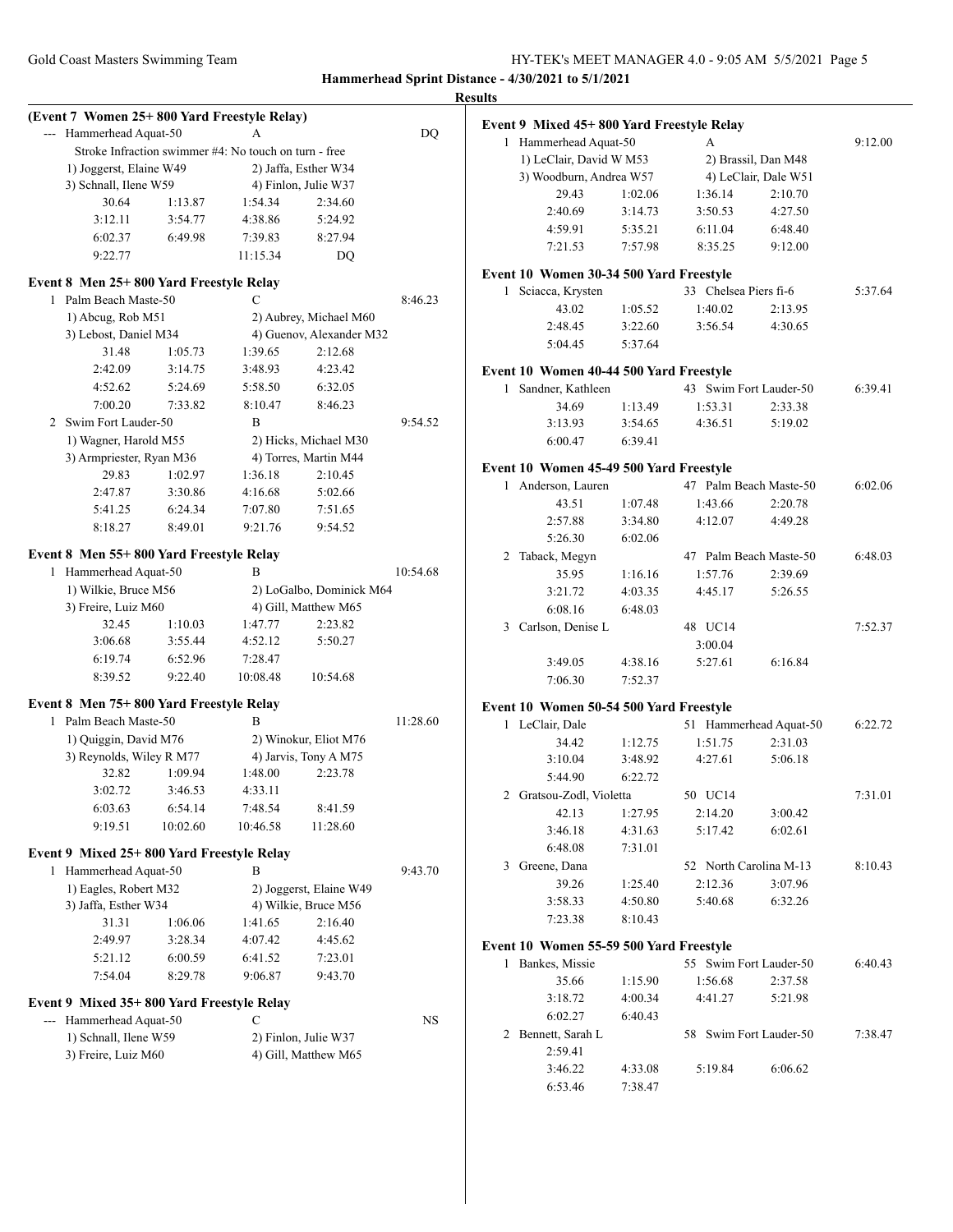|   |                                             |          |                                                       |                          |          | <b>Results</b> |
|---|---------------------------------------------|----------|-------------------------------------------------------|--------------------------|----------|----------------|
|   | (Event 7 Women 25+800 Yard Freestyle Relay) |          |                                                       |                          |          | Ev             |
|   | --- Hammerhead Aquat-50                     |          | A                                                     |                          | DQ       |                |
|   |                                             |          | Stroke Infraction swimmer #4: No touch on turn - free |                          |          |                |
|   | 1) Joggerst, Elaine W49                     |          |                                                       | 2) Jaffa, Esther W34     |          |                |
|   | 3) Schnall, Ilene W59                       |          |                                                       | 4) Finlon, Julie W37     |          |                |
|   | 30.64                                       | 1:13.87  | 1:54.34                                               | 2:34.60                  |          |                |
|   | 3:12.11                                     | 3:54.77  | 4:38.86                                               | 5:24.92                  |          |                |
|   | 6:02.37                                     | 6:49.98  | 7:39.83                                               | 8:27.94                  |          |                |
|   | 9:22.77                                     |          | 11:15.34                                              | DQ                       |          |                |
|   | Event 8 Men 25+800 Yard Freestyle Relay     |          |                                                       |                          |          | <b>Eve</b>     |
|   | 1 Palm Beach Maste-50                       |          |                                                       |                          | 8:46.23  |                |
|   | 1) Abcug, Rob M51                           |          |                                                       | 2) Aubrey, Michael M60   |          |                |
|   | 3) Lebost, Daniel M34                       |          |                                                       | 4) Guenov, Alexander M32 |          |                |
|   | 31.48                                       | 1:05.73  | 1:39.65                                               | 2:12.68                  |          |                |
|   | 2:42.09                                     | 3:14.75  | 3:48.93                                               | 4:23.42                  |          | Ev             |
|   | 4:52.62                                     | 5:24.69  | 5:58.50                                               | 6:32.05                  |          |                |
|   | 7:00.20                                     | 7:33.82  | 8:10.47                                               | 8:46.23                  |          |                |
|   | 2 Swim Fort Lauder-50                       |          | B                                                     |                          | 9:54.52  |                |
|   | 1) Wagner, Harold M55                       |          |                                                       | 2) Hicks, Michael M30    |          |                |
|   | 3) Armpriester, Ryan M36                    |          |                                                       | 4) Torres, Martin M44    |          |                |
|   | 29.83                                       | 1:02.97  | 1:36.18                                               | 2:10.45                  |          | Evo            |
|   | 2:47.87                                     | 3:30.86  | 4:16.68                                               | 5:02.66                  |          |                |
|   | 5:41.25                                     | 6:24.34  | 7:07.80                                               | 7:51.65                  |          |                |
|   | 8:18.27                                     | 8:49.01  | 9:21.76                                               | 9:54.52                  |          |                |
|   |                                             |          |                                                       |                          |          |                |
|   | Event 8 Men 55+800 Yard Freestyle Relay     |          |                                                       |                          |          |                |
| 1 | Hammerhead Aquat-50                         |          | B                                                     |                          | 10:54.68 |                |
|   | 1) Wilkie, Bruce M56                        |          |                                                       | 2) LoGalbo, Dominick M64 |          |                |
|   | 3) Freire, Luiz M60                         |          |                                                       | 4) Gill, Matthew M65     |          |                |
|   | 32.45                                       | 1:10.03  | 1:47.77                                               | 2:23.82                  |          |                |
|   | 3:06.68                                     | 3:55.44  | 4:52.12                                               | 5:50.27                  |          |                |
|   | 6:19.74                                     | 6:52.96  | 7:28.47                                               |                          |          |                |
|   | 8:39.52                                     | 9:22.40  | 10:08.48                                              | 10:54.68                 |          |                |
|   | Event 8 Men 75+800 Yard Freestyle Relay     |          |                                                       |                          |          | Ev             |
| 1 | Palm Beach Maste-50                         |          | B                                                     |                          | 11:28.60 |                |
|   | 1) Quiggin, David M76                       |          |                                                       | 2) Winokur, Eliot M76    |          |                |
|   | 3) Reynolds, Wiley R M77                    |          |                                                       | 4) Jarvis, Tony A M75    |          |                |
|   | 32.82                                       | 1:09.94  | 1:48.00                                               | 2:23.78                  |          |                |
|   | 3:02.72                                     | 3:46.53  | 4:33.11                                               |                          |          |                |
|   | 6:03.63                                     | 6:54.14  | 7:48.54                                               | 8:41.59                  |          |                |
|   | 9:19.51                                     | 10:02.60 | 10:46.58                                              | 11:28.60                 |          |                |
|   | Event 9 Mixed 25+800 Yard Freestyle Relay   |          |                                                       |                          |          |                |
|   | 1 Hammerhead Aquat-50                       |          | R                                                     |                          | 9:43.70  |                |
|   | 1) Eagles, Robert M32                       |          |                                                       | 2) Joggerst, Elaine W49  |          |                |
|   | 3) Jaffa, Esther W34                        |          |                                                       | 4) Wilkie, Bruce M56     |          |                |
|   | 31.31                                       | 1:06.06  | 1:41.65                                               | 2:16.40                  |          |                |
|   | 2:49.97                                     | 3:28.34  | 4:07.42                                               | 4:45.62                  |          |                |
|   | 5:21.12                                     | 6:00.59  | 6:41.52                                               | 7:23.01                  |          | Ev             |
|   | 7:54.04                                     | 8:29.78  | 9:06.87                                               | 9:43.70                  |          |                |
|   |                                             |          |                                                       |                          |          |                |
|   | Event 9 Mixed 35+800 Yard Freestyle Relay   |          |                                                       |                          |          |                |
|   | --- Hammerhead Aquat-50                     |          | C                                                     |                          | NS       |                |
|   | 1) Schnall, Ilene W59                       |          |                                                       | 2) Finlon, Julie W37     |          |                |
|   | 3) Freire, Luiz M60                         |          |                                                       | 4) Gill, Matthew M65     |          |                |
|   |                                             |          |                                                       |                          |          |                |
|   |                                             |          |                                                       |                          |          |                |

| lts          |                                           |         |                        |                        |         |  |
|--------------|-------------------------------------------|---------|------------------------|------------------------|---------|--|
|              | Event 9 Mixed 45+800 Yard Freestyle Relay |         |                        |                        |         |  |
|              | 1 Hammerhead Aquat-50                     |         | A                      |                        | 9:12.00 |  |
|              | 1) LeClair, David W M53                   |         |                        | 2) Brassil, Dan M48    |         |  |
|              | 3) Woodburn, Andrea W57                   |         |                        | 4) LeClair, Dale W51   |         |  |
|              | 29.43                                     | 1:02.06 | 1:36.14                | 2:10.70                |         |  |
|              | 2:40.69                                   | 3:14.73 | 3:50.53                | 4:27.50                |         |  |
|              | 4:59.91                                   | 5:35.21 | 6:11.04                | 6:48.40                |         |  |
|              | 7:21.53                                   | 7:57.98 | 8:35.25                | 9:12.00                |         |  |
|              | Event 10 Women 30-34 500 Yard Freestyle   |         |                        |                        |         |  |
|              | 1 Sciacca, Krysten                        |         | 33 Chelsea Piers fi-6  |                        | 5:37.64 |  |
|              | 43.02                                     | 1:05.52 | 1:40.02                | 2:13.95                |         |  |
|              | 2:48.45                                   | 3:22.60 | 3:56.54                | 4:30.65                |         |  |
|              | 5:04.45                                   | 5:37.64 |                        |                        |         |  |
|              | Event 10 Women 40-44 500 Yard Freestyle   |         |                        |                        |         |  |
| $\mathbf{1}$ | Sandner, Kathleen                         |         | 43 Swim Fort Lauder-50 |                        | 6:39.41 |  |
|              | 34.69                                     | 1:13.49 | 1:53.31                | 2:33.38                |         |  |
|              | 3:13.93                                   | 3:54.65 | 4:36.51                | 5:19.02                |         |  |
|              | 6:00.47                                   | 6:39.41 |                        |                        |         |  |
|              | Event 10 Women 45-49 500 Yard Freestyle   |         |                        |                        |         |  |
| 1            | Anderson, Lauren                          |         | 47 Palm Beach Maste-50 |                        | 6:02.06 |  |
|              | 43.51                                     | 1:07.48 | 1:43.66                | 2:20.78                |         |  |
|              | 2:57.88                                   | 3:34.80 | 4:12.07                | 4:49.28                |         |  |
|              | 5:26.30                                   | 6:02.06 |                        |                        |         |  |
| 2            | Taback, Megyn                             |         | 47 Palm Beach Maste-50 |                        | 6:48.03 |  |
|              | 35.95                                     | 1:16.16 | 1:57.76                | 2:39.69                |         |  |
|              | 3:21.72                                   | 4:03.35 | 4:45.17                | 5:26.55                |         |  |
|              | 6:08.16                                   | 6:48.03 |                        |                        |         |  |
| 3            | Carlson, Denise L                         |         | 48 UC14                |                        | 7:52.37 |  |
|              |                                           |         | 3:00.04                |                        |         |  |
|              | 3:49.05                                   | 4:38.16 | 5:27.61                | 6:16.84                |         |  |
|              | 7:06.30                                   | 7:52.37 |                        |                        |         |  |
|              | Event 10 Women 50-54 500 Yard Freestyle   |         |                        |                        |         |  |
|              | 1 LeClair, Dale                           |         |                        | 51 Hammerhead Aquat-50 | 6:22.72 |  |
|              | 34.42                                     | 1:12.75 | 1:51.75                | 2:31.03                |         |  |
|              | 3:10.04                                   | 3:48.92 | 4:27.61                | 5:06.18                |         |  |
|              | 5:44.90                                   | 6:22.72 |                        |                        |         |  |
|              | 2 Gratsou-Zodl, Violetta                  |         | 50 UC14                |                        | 7:31.01 |  |
|              | 42.13                                     | 1:27.95 | 2:14.20                | 3:00.42                |         |  |
|              | 3:46.18                                   | 4:31.63 | 5:17.42                | 6:02.61                |         |  |
|              | 6:48.08                                   | 7:31.01 |                        |                        |         |  |
| 3            | Greene, Dana                              |         | 52 North Carolina M-13 |                        | 8:10.43 |  |
|              | 39.26                                     | 1:25.40 | 2:12.36                | 3:07.96                |         |  |
|              | 3:58.33                                   | 4:50.80 | 5:40.68                | 6:32.26                |         |  |
|              | 7:23.38                                   | 8:10.43 |                        |                        |         |  |
|              | Event 10 Women 55-59 500 Yard Freestyle   |         |                        |                        |         |  |
| 1            | Bankes, Missie                            |         | 55                     | Swim Fort Lauder-50    | 6:40.43 |  |
|              | 35.66                                     | 1:15.90 | 1:56.68                | 2:37.58                |         |  |
|              | 3:18.72                                   | 4:00.34 | 4:41.27                | 5:21.98                |         |  |
|              | 6:02.27                                   | 6:40.43 |                        |                        |         |  |
|              | 2 Bennett, Sarah L                        |         | 58 Swim Fort Lauder-50 |                        | 7:38.47 |  |
|              | 2:59.41                                   |         |                        |                        |         |  |
|              | 3:46.22                                   | 4:33.08 | 5:19.84                | 6:06.62                |         |  |
|              | 6:53.46                                   | 7:38.47 |                        |                        |         |  |
|              |                                           |         |                        |                        |         |  |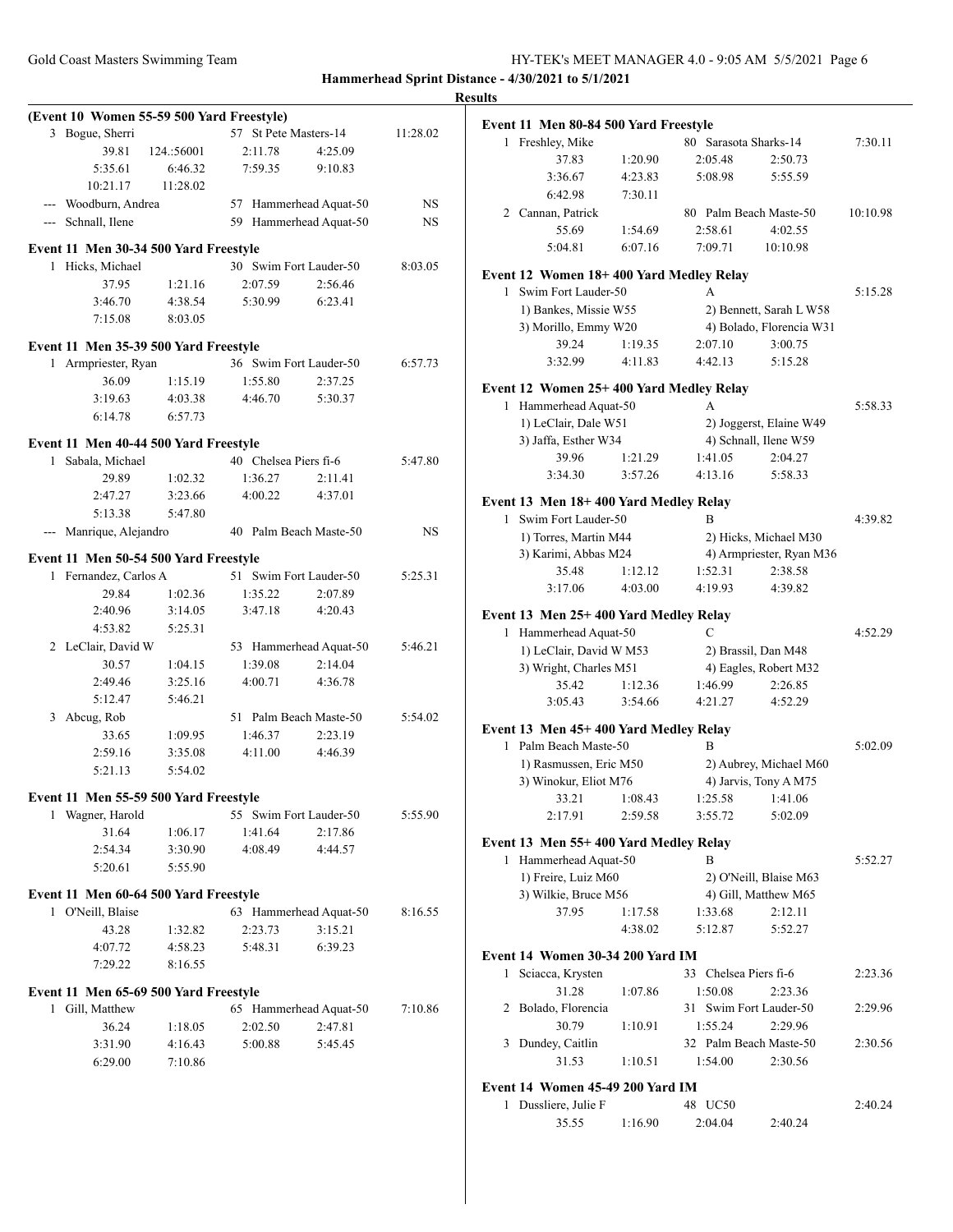|                                                          |                    |                        |                        |           | <b>Results</b>                                  |             |
|----------------------------------------------------------|--------------------|------------------------|------------------------|-----------|-------------------------------------------------|-------------|
| (Event 10 Women 55-59 500 Yard Freestyle)                |                    |                        |                        |           | Event 11 Men 80-84 500 Y                        |             |
| 3 Bogue, Sherri                                          |                    | 57 St Pete Masters-14  |                        | 11:28.02  | 1 Freshley, Mike                                |             |
| 39.81                                                    | 124.:56001         | 2:11.78                | 4:25.09                |           | 37.83                                           | 1:20        |
| 5:35.61                                                  | 6:46.32            | 7:59.35                | 9:10.83                |           | 3:36.67                                         | 4:2.        |
| 10:21.17                                                 | 11:28.02           |                        |                        |           | 6:42.98                                         | 7:3         |
| --- Woodburn, Andrea                                     |                    |                        | 57 Hammerhead Aquat-50 | NS        | 2 Cannan, Patrick                               |             |
| --- Schnall, Ilene                                       |                    |                        | 59 Hammerhead Aquat-50 | NS        | 55.69                                           | 1:54        |
| Event 11 Men 30-34 500 Yard Freestyle                    |                    |                        |                        |           | 5:04.81                                         | 6:0'        |
| 1 Hicks, Michael                                         |                    | 30 Swim Fort Lauder-50 |                        | 8:03.05   |                                                 |             |
| 37.95                                                    | 1:21.16            | 2:07.59                | 2:56.46                |           | <b>Event 12 Women 18+400</b>                    |             |
| 3:46.70                                                  | 4:38.54            | 5:30.99                | 6:23.41                |           | 1 Swim Fort Lauder-50                           |             |
| 7:15.08                                                  | 8:03.05            |                        |                        |           | 1) Bankes, Missie W55                           |             |
|                                                          |                    |                        |                        |           | 3) Morillo, Emmy W20<br>39.24                   |             |
| Event 11 Men 35-39 500 Yard Freestyle                    |                    |                        |                        |           | 3:32.99                                         | 1:19<br>4:1 |
| 1 Armpriester, Ryan                                      |                    | 36 Swim Fort Lauder-50 |                        | 6:57.73   |                                                 |             |
| 36.09                                                    | 1:15.19            | 1:55.80                | 2:37.25                |           | <b>Event 12 Women 25+400</b>                    |             |
| 3:19.63                                                  | 4:03.38            | 4:46.70                | 5:30.37                |           | 1 Hammerhead Aquat-50                           |             |
| 6:14.78                                                  | 6:57.73            |                        |                        |           | 1) LeClair, Dale W51                            |             |
| Event 11 Men 40-44 500 Yard Freestyle                    |                    |                        |                        |           | 3) Jaffa, Esther W34                            |             |
| 1 Sabala, Michael                                        |                    | 40 Chelsea Piers fi-6  |                        | 5:47.80   | 39.96                                           | 1:2         |
| 29.89                                                    | 1:02.32            | 1:36.27                | 2:11.41                |           | 3:34.30                                         | 3:5'        |
| 2:47.27                                                  | 3:23.66            | 4:00.22                | 4:37.01                |           | Event 13 Men 18+400 Yar                         |             |
| 5:13.38                                                  | 5:47.80            |                        |                        |           | 1 Swim Fort Lauder-50                           |             |
| --- Manrique, Alejandro                                  |                    | 40 Palm Beach Maste-50 |                        | <b>NS</b> |                                                 |             |
|                                                          |                    |                        |                        |           | 1) Torres, Martin M44                           |             |
| Event 11 Men 50-54 500 Yard Freestyle                    |                    |                        |                        |           | 3) Karimi, Abbas M24<br>35.48                   |             |
| 1 Fernandez, Carlos A                                    |                    | 51 Swim Fort Lauder-50 |                        | 5:25.31   | 3:17.06                                         | 1:12<br>4:0 |
| 29.84                                                    | 1:02.36            | 1:35.22                | 2:07.89                |           |                                                 |             |
| 2:40.96                                                  | 3:14.05            | 3:47.18                | 4:20.43                |           | Event 13 Men 25+400 Yar                         |             |
| 4:53.82                                                  | 5:25.31            |                        |                        |           | 1 Hammerhead Aquat-50                           |             |
| 2 LeClair, David W                                       |                    |                        | 53 Hammerhead Aquat-50 | 5:46.21   | 1) LeClair, David W M;                          |             |
| 30.57                                                    | 1:04.15            | 1:39.08                | 2:14.04                |           | 3) Wright, Charles M51                          |             |
| 2:49.46                                                  | 3:25.16            | 4:00.71                | 4:36.78                |           | 35.42                                           | 1:12        |
| 5:12.47                                                  | 5:46.21            |                        |                        |           | 3:05.43                                         | 3:54        |
| 3 Abcug, Rob                                             |                    | 51 Palm Beach Maste-50 |                        | 5:54.02   |                                                 |             |
| 33.65                                                    | 1:09.95            | 1:46.37                | 2:23.19                |           | Event 13 Men 45+400 Yar                         |             |
| 2:59.16                                                  | 3:35.08            | 4:11.00                | 4:46.39                |           | 1 Palm Beach Maste-50                           |             |
| 5:21.13                                                  | 5:54.02            |                        |                        |           | 1) Rasmussen, Eric M50<br>3) Winokur, Eliot M76 |             |
| Event 11 Men 55-59 500 Yard Freestyle                    |                    |                        |                        |           | 33.21                                           | 1:08        |
| 1 Wagner, Harold                                         |                    | 55 Swim Fort Lauder-50 |                        | 5:55.90   | 2:17.91                                         | 2:5         |
| 31.64                                                    | 1:06.17            | 1:41.64                | 2:17.86                |           |                                                 |             |
| 2:54.34                                                  | 3:30.90            | 4:08.49                | 4:44.57                |           | Event 13 Men 55+400 Yar                         |             |
| 5:20.61                                                  | 5:55.90            |                        |                        |           | 1 Hammerhead Aquat-50                           |             |
|                                                          |                    |                        |                        |           | 1) Freire, Luiz M60                             |             |
| Event 11 Men 60-64 500 Yard Freestyle                    |                    |                        |                        |           | 3) Wilkie, Bruce M56                            |             |
| 1 O'Neill, Blaise                                        |                    |                        | 63 Hammerhead Aquat-50 | 8:16.55   | 37.95                                           | 1:1'        |
| 43.28                                                    | 1:32.82            | 2:23.73                | 3:15.21                |           |                                                 | 4:3         |
| 4:07.72                                                  | 4:58.23            | 5:48.31                | 6:39.23                |           | Event 14 Women 30-34 20                         |             |
| 7:29.22                                                  | 8:16.55            |                        |                        |           | 1 Sciacca, Krysten                              |             |
|                                                          |                    |                        |                        |           | 31.28                                           | 1:0'        |
| Event 11 Men 65-69 500 Yard Freestyle<br>1 Gill, Matthew |                    |                        | 65 Hammerhead Aquat-50 | 7:10.86   | 2 Bolado, Florencia                             |             |
| 36.24                                                    |                    | 2:02.50                | 2:47.81                |           | 30.79                                           | 1:10        |
| 3:31.90                                                  | 1:18.05<br>4:16.43 | 5:00.88                | 5:45.45                |           | 3 Dundey, Caitlin                               |             |
| 6:29.00                                                  | 7:10.86            |                        |                        |           | 31.53                                           | 1:10        |
|                                                          |                    |                        |                        |           |                                                 |             |
|                                                          |                    |                        |                        |           | <b>Event 14 Women 45-49 200</b>                 |             |
|                                                          |                    |                        |                        |           | 1 Dussliere, Julie F                            |             |
|                                                          |                    |                        |                        |           | 35.55                                           | 1:16        |

|   | Event 11 Men 80-84 500 Yard Freestyle         |         |                          |                                                  |          |
|---|-----------------------------------------------|---------|--------------------------|--------------------------------------------------|----------|
| 1 | Freshley, Mike                                |         | 80 Sarasota Sharks-14    |                                                  | 7:30.11  |
|   | 37.83                                         | 1:20.90 | 2:05.48                  | 2:50.73                                          |          |
|   | 3:36.67                                       | 4:23.83 | 5:08.98                  | 5:55.59                                          |          |
|   | 6:42.98                                       | 7:30.11 |                          |                                                  |          |
|   | 2 Cannan, Patrick                             |         | 80 Palm Beach Maste-50   |                                                  | 10:10.98 |
|   | 55.69                                         | 1:54.69 | 2:58.61                  | 4:02.55                                          |          |
|   | 5:04.81                                       | 6:07.16 |                          |                                                  |          |
|   |                                               |         | 7:09.71                  | 10:10.98                                         |          |
|   | Event 12 Women 18+400 Yard Medley Relay       |         |                          |                                                  |          |
| 1 | Swim Fort Lauder-50                           |         | A                        |                                                  | 5:15.28  |
|   | 1) Bankes, Missie W55                         |         |                          | 2) Bennett, Sarah L W58                          |          |
|   | 3) Morillo, Emmy W20                          |         |                          | 4) Bolado, Florencia W31                         |          |
|   | 39.24                                         | 1:19.35 | 2:07.10                  | 3:00.75                                          |          |
|   | 3:32.99                                       | 4:11.83 | 4:42.13                  | 5:15.28                                          |          |
|   |                                               |         |                          |                                                  |          |
|   | Event 12 Women 25+400 Yard Medley Relay       |         | A                        |                                                  | 5:58.33  |
|   | 1 Hammerhead Aquat-50<br>1) LeClair, Dale W51 |         |                          |                                                  |          |
|   | 3) Jaffa, Esther W34                          |         |                          | 2) Joggerst, Elaine W49<br>4) Schnall, Ilene W59 |          |
|   | 39.96                                         |         |                          |                                                  |          |
|   |                                               | 1:21.29 | 1:41.05                  | 2:04.27                                          |          |
|   | 3:34.30                                       | 3:57.26 | 4:13.16                  | 5:58.33                                          |          |
|   | Event 13 Men 18+400 Yard Medley Relay         |         |                          |                                                  |          |
|   | 1 Swim Fort Lauder-50                         |         | B                        |                                                  | 4:39.82  |
|   | 1) Torres, Martin M44                         |         |                          | 2) Hicks, Michael M30                            |          |
|   | 3) Karimi, Abbas M24                          |         |                          | 4) Armpriester, Ryan M36                         |          |
|   | 35.48                                         | 1:12.12 | 1:52.31                  | 2:38.58                                          |          |
|   | 3:17.06                                       | 4:03.00 | 4:19.93                  | 4:39.82                                          |          |
|   |                                               |         |                          |                                                  |          |
|   | Event 13 Men 25+400 Yard Medley Relay         |         |                          |                                                  |          |
| 1 | Hammerhead Aquat-50                           |         | C                        |                                                  | 4:52.29  |
|   | 1) LeClair, David W M53                       |         |                          | 2) Brassil, Dan M48                              |          |
|   | 3) Wright, Charles M51                        |         |                          | 4) Eagles, Robert M32                            |          |
|   | 35.42                                         | 1:12.36 | 1:46.99                  | 2:26.85                                          |          |
|   | 3:05.43                                       | 3:54.66 | 4:21.27                  | 4:52.29                                          |          |
|   | Event 13 Men 45+400 Yard Medley Relay         |         |                          |                                                  |          |
| 1 | Palm Beach Maste-50                           |         | B                        |                                                  | 5:02.09  |
|   | 1) Rasmussen, Eric M50                        |         |                          | 2) Aubrey, Michael M60                           |          |
|   | 3) Winokur, Eliot M76                         |         |                          | 4) Jarvis, Tony A M75                            |          |
|   | 33.21 1:08.43                                 |         |                          | 1:25.58 1:41.06                                  |          |
|   | 2:17.91                                       | 2:59.58 | 3:55.72                  | 5:02.09                                          |          |
|   |                                               |         |                          |                                                  |          |
|   | Event 13 Men 55+400 Yard Medley Relay         |         |                          |                                                  |          |
| 1 | Hammerhead Aquat-50                           |         | B                        |                                                  | 5:52.27  |
|   | 1) Freire, Luiz M60                           |         |                          | 2) O'Neill, Blaise M63                           |          |
|   | 3) Wilkie, Bruce M56                          |         |                          | 4) Gill, Matthew M65                             |          |
|   | 37.95                                         | 1:17.58 | 1:33.68                  | 2:12.11                                          |          |
|   |                                               | 4:38.02 | 5:12.87                  | 5:52.27                                          |          |
|   | Event 14 Women 30-34 200 Yard IM              |         |                          |                                                  |          |
| 1 | Sciacca, Krysten                              |         | 33<br>Chelsea Piers fi-6 |                                                  | 2:23.36  |
|   | 31.28                                         |         |                          |                                                  |          |
|   |                                               | 1:07.86 | 1:50.08                  | 2:23.36                                          |          |
| 2 | Bolado, Florencia                             |         | 31 Swim Fort Lauder-50   |                                                  | 2:29.96  |
|   | 30.79                                         | 1:10.91 | 1:55.24                  | 2:29.96                                          |          |
| 3 | Dundey, Caitlin                               |         | 32 Palm Beach Maste-50   |                                                  | 2:30.56  |
|   | 31.53                                         | 1:10.51 | 1:54.00                  | 2:30.56                                          |          |
|   | Event 14 Women 45-49 200 Yard IM              |         |                          |                                                  |          |
|   |                                               |         |                          |                                                  |          |

| 1 Dussliere, Julie F |         | 48 UC50 |         | 2:40.24 |  |
|----------------------|---------|---------|---------|---------|--|
| 35.55                | 1:16.90 | 2:04.04 | 2:40.24 |         |  |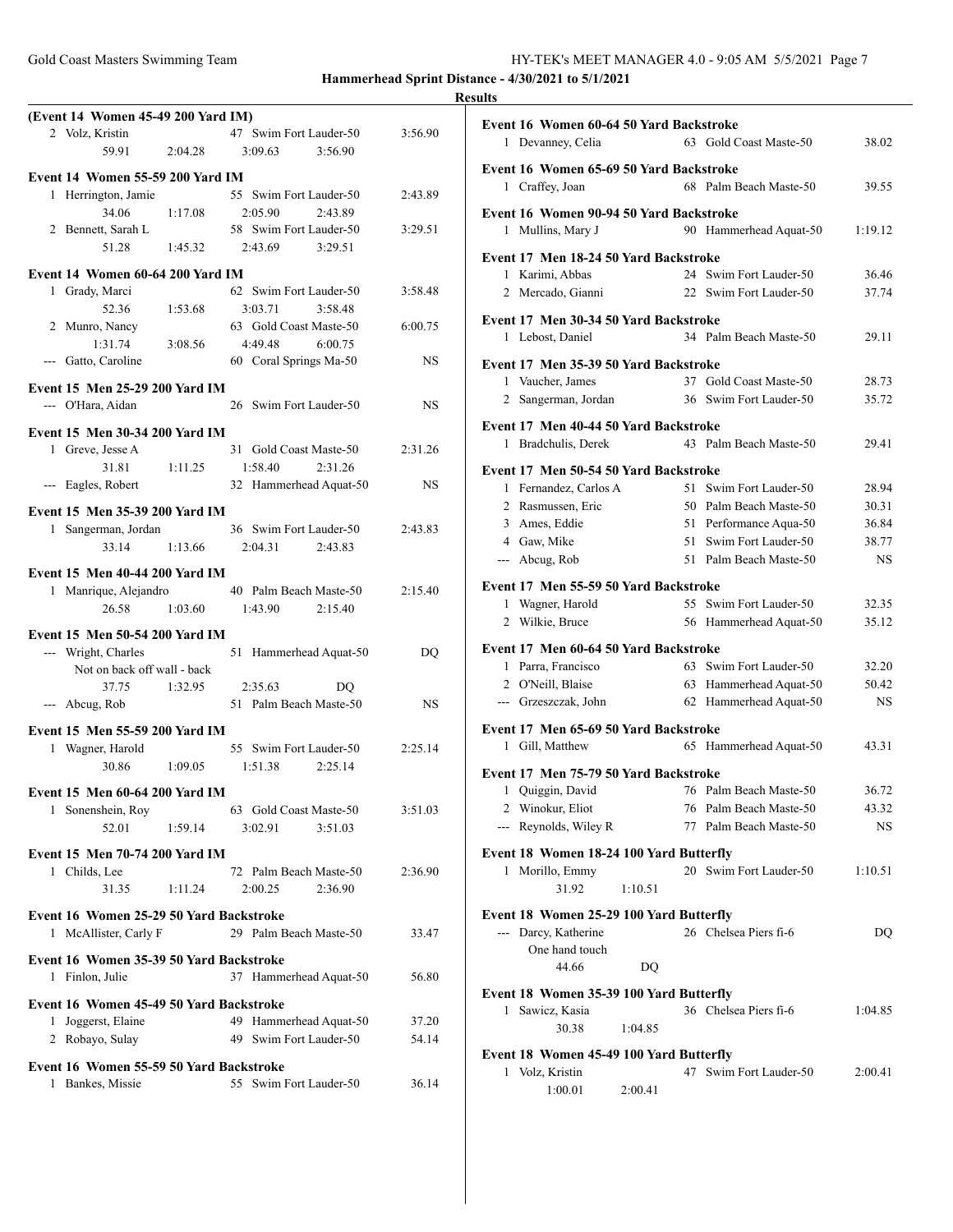|                                                             |                                                         | <b>Results</b> |
|-------------------------------------------------------------|---------------------------------------------------------|----------------|
| (Event 14 Women 45-49 200 Yard IM)                          |                                                         | Ev             |
| 2 Volz, Kristin                                             | 47 Swim Fort Lauder-50<br>3:56.90                       |                |
| 59.91                                                       | 3:56.90<br>2:04.28<br>3:09.63                           |                |
| Event 14 Women 55-59 200 Yard IM                            |                                                         | Ev             |
| 1 Herrington, Jamie                                         | 55 Swim Fort Lauder-50<br>2:43.89                       |                |
| 34.06<br>1:17.08                                            | 2:05.90<br>2:43.89                                      | Ev             |
| 2 Bennett, Sarah L                                          | 58 Swim Fort Lauder-50<br>3:29.51                       |                |
| 51.28                                                       | $1:45.32$ $2:43.69$ $3:29.51$                           | Ev             |
| Event 14 Women 60-64 200 Yard IM                            |                                                         |                |
| 1 Grady, Marci                                              | 62 Swim Fort Lauder-50<br>3:58.48                       |                |
| 52.36<br>1:53.68                                            | 3:03.71<br>3:58.48                                      |                |
| 2 Munro, Nancy                                              | 63 Gold Coast Maste-50<br>6:00.75                       | Ev             |
| 1:31.74<br>3:08.56                                          | 4:49.48<br>6:00.75                                      |                |
| --- Gatto, Caroline                                         | 60 Coral Springs Ma-50<br><b>NS</b>                     | Ev             |
| Event 15 Men 25-29 200 Yard IM                              |                                                         |                |
| --- O'Hara, Aidan                                           | 26 Swim Fort Lauder-50<br><b>NS</b>                     |                |
|                                                             |                                                         | Ev             |
| Event 15 Men 30-34 200 Yard IM                              |                                                         |                |
| 1 Greve, Jesse A                                            | 31 Gold Coast Maste-50<br>2:31.26                       |                |
| 31.81<br>1:11.25                                            | 1:58.40<br>2:31.26                                      | Ev             |
| --- Eagles, Robert                                          | 32 Hammerhead Aquat-50<br>NS.                           |                |
| Event 15 Men 35-39 200 Yard IM                              |                                                         |                |
| 1 Sangerman, Jordan                                         | 36 Swim Fort Lauder-50<br>2:43.83                       |                |
| 33.14<br>1:13.66                                            | 2:04.31 2:43.83                                         |                |
| Event 15 Men 40-44 200 Yard IM                              |                                                         |                |
|                                                             | 1 Manrique, Alejandro 40 Palm Beach Maste-50<br>2:15.40 | Ev             |
| 26.58                                                       | $1:03.60$ $1:43.90$<br>2:15.40                          |                |
|                                                             |                                                         |                |
| Event 15 Men 50-54 200 Yard IM<br>--- Wright, Charles       | 51 Hammerhead Aquat-50<br>DO                            | Ev             |
| Not on back off wall - back                                 |                                                         |                |
| 37.75 1:32.95 2:35.63                                       | DO.                                                     |                |
| --- Abcug, Rob                                              | 51 Palm Beach Maste-50<br>NS.                           |                |
|                                                             |                                                         |                |
| Event 15 Men 55-59 200 Yard IM                              |                                                         | Ev             |
| 1 Wagner, Harold                                            | 55 Swim Fort Lauder-50<br>2:25.14                       |                |
| 30.86<br>1:09.05                                            | 1:51.38<br>2:25.14                                      | Ev             |
| Event 15 Men 60-64 200 Yard IM                              |                                                         |                |
| Sonenshein, Roy<br>1                                        | 63 Gold Coast Maste-50<br>3:51.03                       |                |
| 52.01<br>1:59.14                                            | 3:02.91<br>3:51.03                                      |                |
| <b>Event 15 Men 70-74 200 Yard IM</b>                       |                                                         | Ev             |
| 1 Childs, Lee                                               | 72 Palm Beach Maste-50<br>2:36.90                       |                |
| 31.35<br>1:11.24                                            | 2:00.25<br>2:36.90                                      |                |
| Event 16 Women 25-29 50 Yard Backstroke                     |                                                         | Ev             |
| 1 McAllister, Carly F                                       | 29 Palm Beach Maste-50<br>33.47                         |                |
|                                                             |                                                         |                |
| Event 16 Women 35-39 50 Yard Backstroke                     |                                                         |                |
| Finlon, Julie<br>1                                          | 37 Hammerhead Aquat-50<br>56.80                         |                |
| Event 16 Women 45-49 50 Yard Backstroke                     |                                                         | Ev             |
| 1 Joggerst, Elaine                                          | 49 Hammerhead Aquat-50<br>37.20                         |                |
| 2 Robayo, Sulay                                             | 49 Swim Fort Lauder-50<br>54.14                         |                |
|                                                             |                                                         | Eve            |
| Event 16 Women 55-59 50 Yard Backstroke<br>1 Bankes, Missie | 55 Swim Fort Lauder-50<br>36.14                         |                |
|                                                             |                                                         |                |

| Event 16 Women 60-64 50 Yard Backstroke<br>1 Devanney, Celia | 63 Gold Coast Maste-50                           | 38.02          |
|--------------------------------------------------------------|--------------------------------------------------|----------------|
|                                                              |                                                  |                |
| Event 16 Women 65-69 50 Yard Backstroke                      | 68 Palm Beach Maste-50                           | 39.55          |
| 1 Craffey, Joan                                              |                                                  |                |
| Event 16 Women 90-94 50 Yard Backstroke                      |                                                  |                |
| 1 Mullins, Mary J                                            | 90 Hammerhead Aquat-50                           | 1:19.12        |
| Event 17 Men 18-24 50 Yard Backstroke                        |                                                  |                |
| 1 Karimi, Abbas                                              | 24 Swim Fort Lauder-50                           | 36.46          |
| 2 Mercado, Gianni                                            | 22 Swim Fort Lauder-50                           | 37.74          |
| Event 17 Men 30-34 50 Yard Backstroke<br>Lebost, Daniel<br>1 | 34 Palm Beach Maste-50                           | 29.11          |
| Event 17 Men 35-39 50 Yard Backstroke                        |                                                  |                |
| 1 Vaucher, James                                             | 37 Gold Coast Maste-50                           | 28.73          |
| 2 Sangerman, Jordan                                          | 36 Swim Fort Lauder-50                           | 35.72          |
| Event 17 Men 40-44 50 Yard Backstroke                        |                                                  |                |
| 1 Bradchulis, Derek                                          | 43 Palm Beach Maste-50                           | 29.41          |
|                                                              |                                                  |                |
| Event 17 Men 50-54 50 Yard Backstroke                        | 51 Swim Fort Lauder-50                           | 28.94          |
| 1 Fernandez, Carlos A<br>2 Rasmussen, Eric                   | 50 Palm Beach Maste-50                           | 30.31          |
| 3 Ames, Eddie                                                | 51 Performance Aqua-50                           | 36.84          |
| 4 Gaw, Mike                                                  | 51 Swim Fort Lauder-50                           | 38.77          |
| --- Abcug, Rob                                               | 51 Palm Beach Maste-50                           | NS             |
| Event 17 Men 55-59 50 Yard Backstroke                        |                                                  |                |
| 1 Wagner, Harold                                             | 55 Swim Fort Lauder-50                           | 32.35          |
| 2 Wilkie, Bruce                                              | 56 Hammerhead Aquat-50                           | 35.12          |
| Event 17 Men 60-64 50 Yard Backstroke                        |                                                  |                |
| 1 Parra, Francisco                                           | 63 Swim Fort Lauder-50                           | 32.20          |
| 2 O'Neill, Blaise                                            | 63 Hammerhead Aquat-50                           | 50.42          |
| --- Grzeszczak, John                                         | 62 Hammerhead Aquat-50                           | <b>NS</b>      |
| Event 17 Men 65-69 50 Yard Backstroke                        |                                                  |                |
| Gill, Matthew<br>1                                           | 65 Hammerhead Aquat-50                           | 43.31          |
|                                                              |                                                  |                |
| Event 17 Men 75-79 50 Yard Backstroke                        |                                                  |                |
| 1 Ouiggin, David<br>2 Winokur, Eliot                         | 76 Palm Beach Maste-50<br>76 Palm Beach Maste-50 | 36.72<br>43.32 |
| --- Reynolds, Wiley R                                        | 77 Palm Beach Maste-50                           | NS.            |
|                                                              |                                                  |                |
| Event 18 Women 18-24 100 Yard Butterfly                      | 20 Swim Fort Lauder-50                           |                |
| Morillo, Emmy<br>1<br>31.92<br>1:10.51                       |                                                  | 1:10.51        |
| Event 18 Women 25-29 100 Yard Butterfly                      |                                                  |                |
| --- Darcy, Katherine                                         | 26 Chelsea Piers fi-6                            | DO             |
| One hand touch<br>44.66                                      |                                                  |                |
| DQ                                                           |                                                  |                |
| Event 18 Women 35-39 100 Yard Butterfly                      |                                                  |                |
| Sawicz, Kasia<br>$\mathbf{1}$                                | 36 Chelsea Piers fi-6                            | 1:04.85        |
| 30.38<br>1:04.85                                             |                                                  |                |
| Event 18 Women 45-49 100 Yard Butterfly                      |                                                  |                |
| 1 Volz, Kristin<br>2:00.41<br>1:00.01                        | 47 Swim Fort Lauder-50                           | 2:00.41        |
|                                                              |                                                  |                |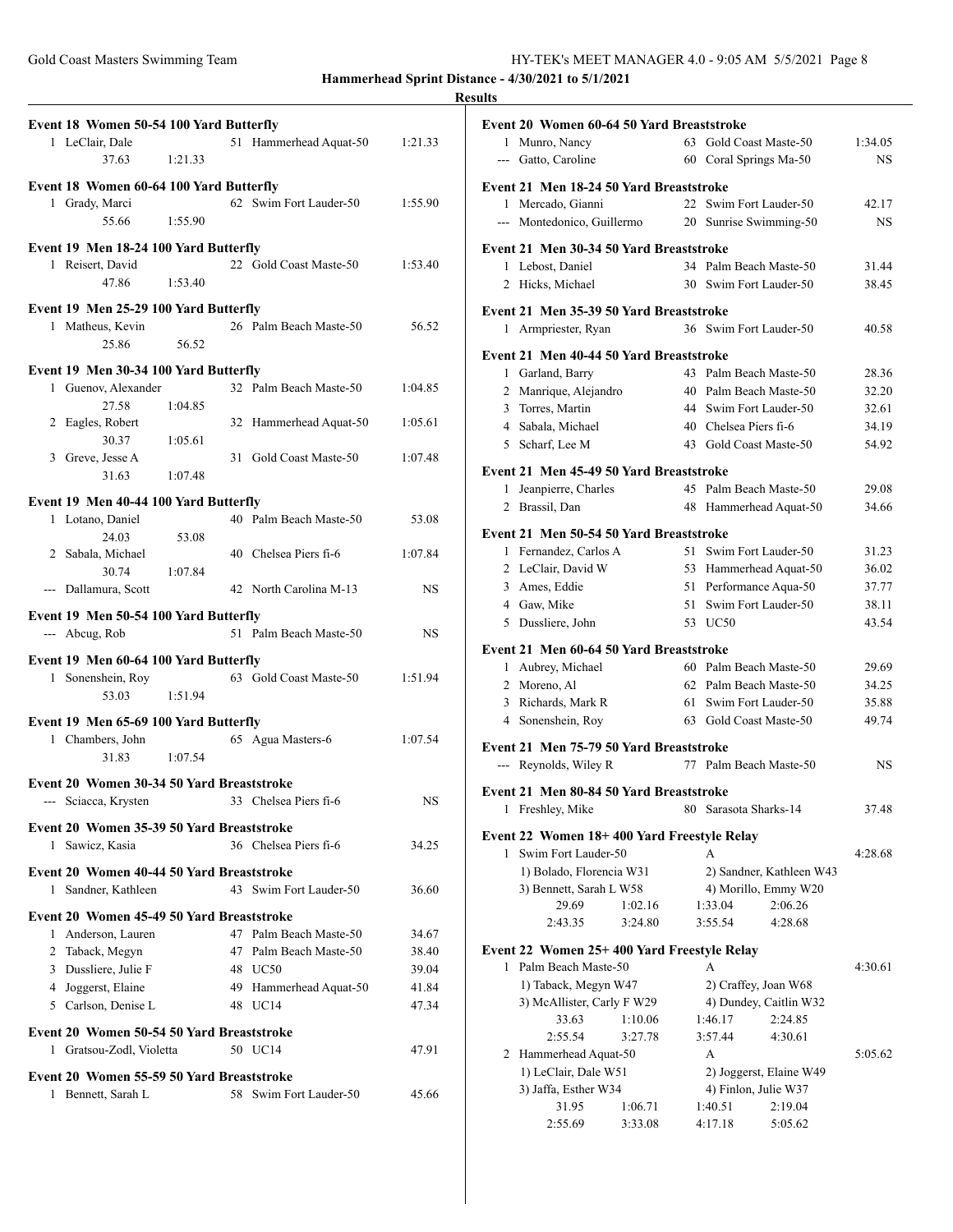|              | Event 18 Women 50-54 100 Yard Butterfly                 |         |                                   |                |
|--------------|---------------------------------------------------------|---------|-----------------------------------|----------------|
|              | 1 LeClair, Dale                                         |         | 51 Hammerhead Aquat-50            | 1:21.33        |
|              | 37.63                                                   | 1:21.33 |                                   |                |
|              | Event 18 Women 60-64 100 Yard Butterfly                 |         |                                   |                |
|              | 1 Grady, Marci                                          |         | 62 Swim Fort Lauder-50            | 1:55.90        |
|              | 55.66                                                   | 1:55.90 |                                   |                |
|              | Event 19 Men 18-24 100 Yard Butterfly                   |         |                                   |                |
|              | 1 Reisert, David                                        |         | 22 Gold Coast Maste-50            | 1:53.40        |
|              | 47.86                                                   | 1:53.40 |                                   |                |
|              | Event 19 Men 25-29 100 Yard Butterfly                   |         |                                   |                |
|              | 1 Matheus, Kevin                                        |         | 26 Palm Beach Maste-50            | 56.52          |
|              | 25.86                                                   | 56.52   |                                   |                |
|              | Event 19 Men 30-34 100 Yard Butterfly                   |         |                                   |                |
|              | 1 Guenov, Alexander                                     |         | 32 Palm Beach Maste-50            | 1:04.85        |
|              | 27.58                                                   | 1:04.85 |                                   |                |
|              | 2 Eagles, Robert                                        |         | 32 Hammerhead Aquat-50            | 1:05.61        |
|              | 30.37                                                   | 1:05.61 |                                   |                |
|              | 3 Greve, Jesse A                                        |         | 31 Gold Coast Maste-50            | 1:07.48        |
|              | 31.63                                                   | 1:07.48 |                                   |                |
|              | Event 19 Men 40-44 100 Yard Butterfly                   |         |                                   |                |
|              | 1 Lotano, Daniel                                        |         | 40 Palm Beach Maste-50            | 53.08          |
|              | 24.03                                                   | 53.08   |                                   |                |
|              | 2 Sabala, Michael<br>30.74                              |         | 40 Chelsea Piers fi-6             | 1:07.84        |
|              | --- Dallamura, Scott                                    | 1:07.84 | 42 North Carolina M-13            | NS             |
|              |                                                         |         |                                   |                |
|              | Event 19 Men 50-54 100 Yard Butterfly<br>--- Abcug, Rob |         | 51 Palm Beach Maste-50            | NS             |
|              |                                                         |         |                                   |                |
|              | Event 19 Men 60-64 100 Yard Butterfly                   |         |                                   |                |
|              | 1 Sonenshein, Roy                                       |         | 63 Gold Coast Maste-50            | 1:51.94        |
|              | 53.03                                                   | 1:51.94 |                                   |                |
|              | Event 19 Men 65-69 100 Yard Butterfly                   |         |                                   |                |
|              | 1 Chambers, John                                        |         | 65 Agua Masters-6                 | 1:07.54        |
|              | 31.83                                                   | 1:07.54 |                                   |                |
|              | Event 20 Women 30-34 50 Yard Breaststroke               |         |                                   |                |
|              | --- Sciacca, Krysten                                    |         | 33 Chelsea Piers fi-6             | NS             |
|              | Event 20 Women 35-39 50 Yard Breaststroke               |         |                                   |                |
| $\mathbf{1}$ | Sawicz, Kasia                                           |         | 36 Chelsea Piers fi-6             | 34.25          |
|              | Event 20 Women 40-44 50 Yard Breaststroke               |         |                                   |                |
| 1            |                                                         |         |                                   | 36.60          |
|              | Sandner, Kathleen                                       |         | 43 Swim Fort Lauder-50            |                |
|              |                                                         |         |                                   |                |
|              | Event 20 Women 45-49 50 Yard Breaststroke               |         |                                   |                |
|              | 1 Anderson, Lauren                                      |         | 47 Palm Beach Maste-50            | 34.67          |
|              | 2 Taback, Megyn                                         |         | 47 Palm Beach Maste-50<br>48 UC50 | 38.40          |
|              | 3 Dussliere, Julie F<br>4 Joggerst, Elaine              |         |                                   | 39.04<br>41.84 |
|              | 5 Carlson, Denise L                                     |         | 49 Hammerhead Aquat-50<br>48 UC14 | 47.34          |
|              |                                                         |         |                                   |                |
|              | Event 20 Women 50-54 50 Yard Breaststroke               |         |                                   |                |
|              | 1 Gratsou-Zodl, Violetta                                |         | 50 UC14                           | 47.91          |
|              | Event 20 Women 55-59 50 Yard Breaststroke               |         |                                   |                |
| 1            | Bennett, Sarah L                                        |         | 58 Swim Fort Lauder-50            | 45.66          |

|   | Event 20 Women 60-64 50 Yard Breaststroke  |         |    |                         |                          |           |
|---|--------------------------------------------|---------|----|-------------------------|--------------------------|-----------|
|   | 1 Munro, Nancy                             |         |    | 63 Gold Coast Maste-50  |                          | 1:34.05   |
|   | --- Gatto, Caroline                        |         |    | 60 Coral Springs Ma-50  |                          | <b>NS</b> |
|   |                                            |         |    |                         |                          |           |
|   | Event 21 Men 18-24 50 Yard Breaststroke    |         |    |                         |                          |           |
|   | 1 Mercado, Gianni                          |         |    | 22 Swim Fort Lauder-50  |                          | 42.17     |
|   | --- Montedonico, Guillermo                 |         |    | 20 Sunrise Swimming-50  |                          | <b>NS</b> |
|   | Event 21 Men 30-34 50 Yard Breaststroke    |         |    |                         |                          |           |
|   | 1 Lebost, Daniel                           |         |    | 34 Palm Beach Maste-50  |                          | 31.44     |
|   | 2 Hicks, Michael                           |         |    | 30 Swim Fort Lauder-50  |                          | 38.45     |
|   |                                            |         |    |                         |                          |           |
|   | Event 21 Men 35-39 50 Yard Breaststroke    |         |    | 36 Swim Fort Lauder-50  |                          | 40.58     |
|   | 1 Armpriester, Ryan                        |         |    |                         |                          |           |
|   | Event 21 Men 40-44 50 Yard Breaststroke    |         |    |                         |                          |           |
| 1 | Garland, Barry                             |         |    | 43 Palm Beach Maste-50  |                          | 28.36     |
|   | 2 Manrique, Alejandro                      |         |    | 40 Palm Beach Maste-50  |                          | 32.20     |
|   | 3 Torres, Martin                           |         |    | 44 Swim Fort Lauder-50  |                          | 32.61     |
|   | 4 Sabala, Michael                          |         |    | 40 Chelsea Piers fi-6   |                          | 34.19     |
|   | 5 Scharf, Lee M                            |         |    | 43 Gold Coast Maste-50  |                          | 54.92     |
|   | Event 21 Men 45-49 50 Yard Breaststroke    |         |    |                         |                          |           |
| 1 | Jeanpierre, Charles                        |         |    | 45 Palm Beach Maste-50  |                          | 29.08     |
|   | 2 Brassil, Dan                             |         |    | 48 Hammerhead Aquat-50  |                          | 34.66     |
|   |                                            |         |    |                         |                          |           |
|   | Event 21 Men 50-54 50 Yard Breaststroke    |         |    |                         |                          |           |
|   | 1 Fernandez, Carlos A                      |         | 51 | Swim Fort Lauder-50     |                          | 31.23     |
|   | 2 LeClair, David W                         |         | 53 | Hammerhead Aquat-50     |                          | 36.02     |
|   | 3 Ames, Eddie                              |         | 51 | Performance Aqua-50     |                          | 37.77     |
|   | 4 Gaw, Mike                                |         |    | 51 Swim Fort Lauder-50  |                          | 38.11     |
|   | 5 Dussliere, John                          |         |    | 53 UC50                 |                          | 43.54     |
|   | Event 21 Men 60-64 50 Yard Breaststroke    |         |    |                         |                          |           |
|   | 1 Aubrey, Michael                          |         |    | 60 Palm Beach Maste-50  |                          | 29.69     |
|   | 2 Moreno, Al                               |         |    | 62 Palm Beach Maste-50  |                          | 34.25     |
|   | 3 Richards, Mark R                         |         |    | 61 Swim Fort Lauder-50  |                          | 35.88     |
|   | 4 Sonenshein, Roy                          |         |    | 63 Gold Coast Maste-50  |                          | 49.74     |
|   | Event 21 Men 75-79 50 Yard Breaststroke    |         |    |                         |                          |           |
|   | --- Reynolds, Wiley R                      |         |    | 77 Palm Beach Maste-50  |                          | <b>NS</b> |
|   |                                            |         |    |                         |                          |           |
|   | Event 21 Men 80-84 50 Yard Breaststroke    |         |    |                         |                          |           |
|   | 1 Freshley, Mike                           |         |    | 80 Sarasota Sharks-14   |                          | 37.48     |
|   | Event 22 Women 18+400 Yard Freestyle Relay |         |    |                         |                          |           |
| 1 | Swim Fort Lauder-50                        |         |    | A                       |                          | 4:28.68   |
|   | 1) Bolado, Florencia W31                   |         |    |                         | 2) Sandner, Kathleen W43 |           |
|   | 3) Bennett, Sarah L W58                    |         |    | 4) Morillo, Emmy W20    |                          |           |
|   | 29.69                                      | 1:02.16 |    | 1:33.04                 | 2:06.26                  |           |
|   | 2:43.35                                    | 3:24.80 |    | 3:55.54                 | 4:28.68                  |           |
|   | Event 22 Women 25+400 Yard Freestyle Relay |         |    |                         |                          |           |
|   | 1 Palm Beach Maste-50                      |         |    | А                       |                          | 4:30.61   |
|   | 1) Taback, Megyn W47                       |         |    | 2) Craffey, Joan W68    |                          |           |
|   | 3) McAllister, Carly F W29                 |         |    | 4) Dundey, Caitlin W32  |                          |           |
|   | 33.63                                      | 1:10.06 |    | 1:46.17                 | 2:24.85                  |           |
|   | 2:55.54                                    | 3:27.78 |    | 3:57.44                 | 4:30.61                  |           |
|   | 2 Hammerhead Aquat-50                      |         |    | А                       |                          | 5:05.62   |
|   | 1) LeClair, Dale W51                       |         |    | 2) Joggerst, Elaine W49 |                          |           |
|   | 3) Jaffa, Esther W34                       |         |    | 4) Finlon, Julie W37    |                          |           |
|   | 31.95                                      | 1:06.71 |    | 1:40.51                 | 2:19.04                  |           |
|   | 2:55.69                                    | 3:33.08 |    | 4:17.18                 | 5:05.62                  |           |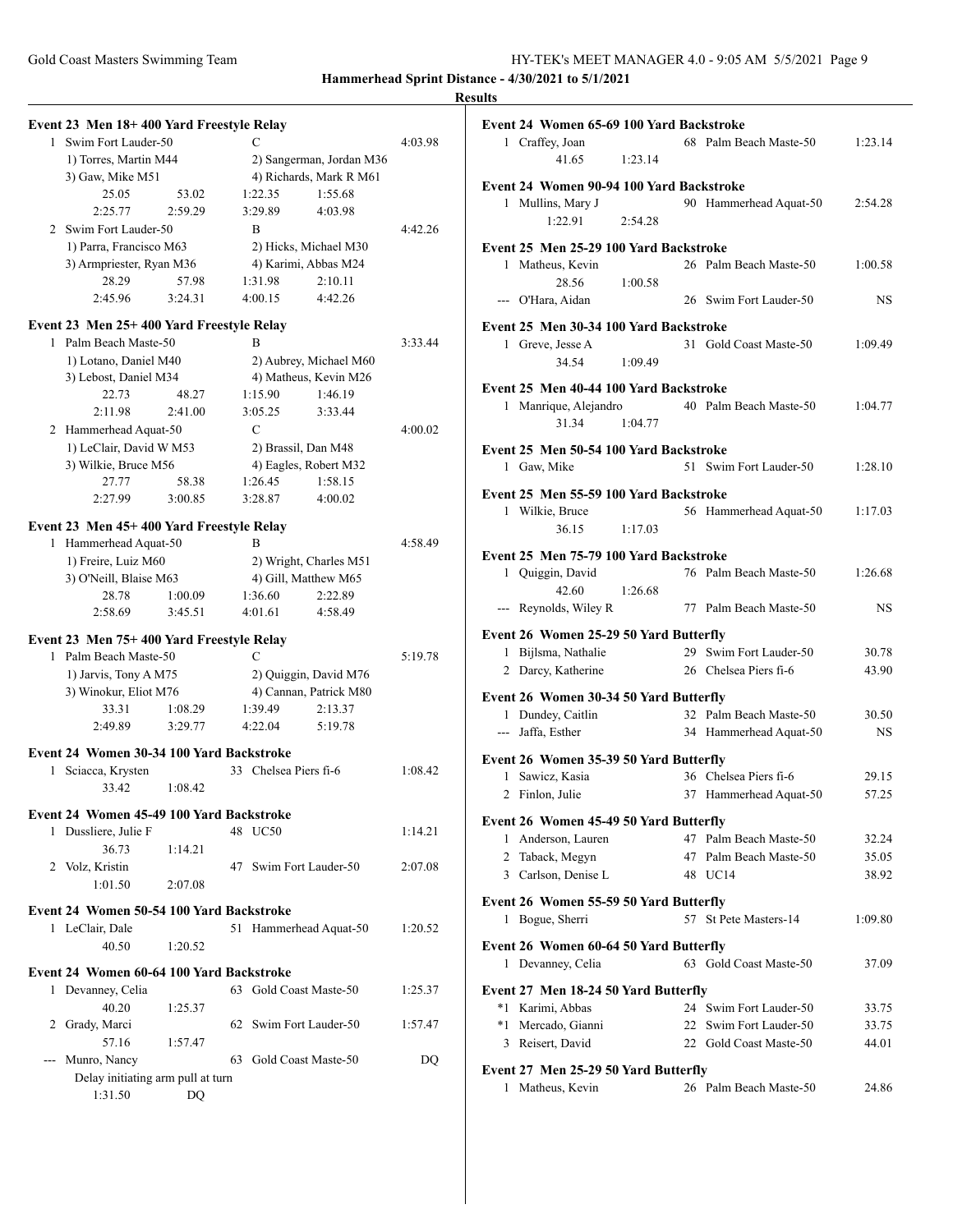| Event 23 Men 18+400 Yard Freestyle Relay                                                                                                                                                                                                                                                                                                                                                                                                                                   |                                   |         |    |             |                          |         |
|----------------------------------------------------------------------------------------------------------------------------------------------------------------------------------------------------------------------------------------------------------------------------------------------------------------------------------------------------------------------------------------------------------------------------------------------------------------------------|-----------------------------------|---------|----|-------------|--------------------------|---------|
|                                                                                                                                                                                                                                                                                                                                                                                                                                                                            | 1 Swim Fort Lauder-50             |         |    | C           |                          | 4:03.98 |
|                                                                                                                                                                                                                                                                                                                                                                                                                                                                            | 1) Torres, Martin M44             |         |    |             | 2) Sangerman, Jordan M36 |         |
|                                                                                                                                                                                                                                                                                                                                                                                                                                                                            | 3) Gaw, Mike M51                  |         |    |             | 4) Richards, Mark R M61  |         |
|                                                                                                                                                                                                                                                                                                                                                                                                                                                                            | 25.05                             | 53.02   |    | 1:22.35     | 1:55.68                  |         |
|                                                                                                                                                                                                                                                                                                                                                                                                                                                                            | 2:25.77                           | 2:59.29 |    | 3:29.89     | 4:03.98                  |         |
|                                                                                                                                                                                                                                                                                                                                                                                                                                                                            | 2 Swim Fort Lauder-50             |         |    | B           |                          | 4:42.26 |
|                                                                                                                                                                                                                                                                                                                                                                                                                                                                            | 1) Parra, Francisco M63           |         |    |             | 2) Hicks, Michael M30    |         |
|                                                                                                                                                                                                                                                                                                                                                                                                                                                                            | 3) Armpriester, Ryan M36          |         |    |             | 4) Karimi, Abbas M24     |         |
|                                                                                                                                                                                                                                                                                                                                                                                                                                                                            | 28.29                             | 57.98   |    | 1:31.98     | 2:10.11                  |         |
|                                                                                                                                                                                                                                                                                                                                                                                                                                                                            | 2:45.96                           | 3:24.31 |    | 4:00.15     | 4:42.26                  |         |
| Event 23 Men 25+400 Yard Freestyle Relay                                                                                                                                                                                                                                                                                                                                                                                                                                   |                                   |         |    |             |                          |         |
|                                                                                                                                                                                                                                                                                                                                                                                                                                                                            | 1 Palm Beach Maste-50             |         |    | R           |                          | 3:33.44 |
|                                                                                                                                                                                                                                                                                                                                                                                                                                                                            | 1) Lotano, Daniel M40             |         |    |             | 2) Aubrey, Michael M60   |         |
|                                                                                                                                                                                                                                                                                                                                                                                                                                                                            | 3) Lebost, Daniel M34             |         |    |             | 4) Matheus, Kevin M26    |         |
|                                                                                                                                                                                                                                                                                                                                                                                                                                                                            | 22.73                             | 48.27   |    | 1:15.90     | 1:46.19                  |         |
|                                                                                                                                                                                                                                                                                                                                                                                                                                                                            | 2:11.98                           | 2:41.00 |    | 3:05.25     | 3:33.44                  |         |
|                                                                                                                                                                                                                                                                                                                                                                                                                                                                            | 2 Hammerhead Aquat-50             |         |    | $\mathbf C$ |                          | 4:00.02 |
|                                                                                                                                                                                                                                                                                                                                                                                                                                                                            | 1) LeClair, David W M53           |         |    |             | 2) Brassil, Dan M48      |         |
|                                                                                                                                                                                                                                                                                                                                                                                                                                                                            | 3) Wilkie, Bruce M56              |         |    |             | 4) Eagles, Robert M32    |         |
|                                                                                                                                                                                                                                                                                                                                                                                                                                                                            | 27.77                             | 58.38   |    | 1:26.45     | 1:58.15                  |         |
|                                                                                                                                                                                                                                                                                                                                                                                                                                                                            | 2:27.99                           | 3:00.85 |    | 3:28.87     | 4:00.02                  |         |
| Event 23 Men 45+400 Yard Freestyle Relay                                                                                                                                                                                                                                                                                                                                                                                                                                   |                                   |         |    |             |                          |         |
|                                                                                                                                                                                                                                                                                                                                                                                                                                                                            | 1 Hammerhead Aquat-50             |         |    | B           |                          | 4:58.49 |
|                                                                                                                                                                                                                                                                                                                                                                                                                                                                            | 1) Freire, Luiz M60               |         |    |             | 2) Wright, Charles M51   |         |
|                                                                                                                                                                                                                                                                                                                                                                                                                                                                            | 3) O'Neill, Blaise M63            |         |    |             | 4) Gill, Matthew M65     |         |
|                                                                                                                                                                                                                                                                                                                                                                                                                                                                            | 28.78                             | 1:00.09 |    | 1:36.60     | 2:22.89                  |         |
|                                                                                                                                                                                                                                                                                                                                                                                                                                                                            | 2:58.69                           | 3:45.51 |    | 4:01.61     | 4:58.49                  |         |
| Event 23 Men 75+400 Yard Freestyle Relay                                                                                                                                                                                                                                                                                                                                                                                                                                   |                                   |         |    |             |                          |         |
|                                                                                                                                                                                                                                                                                                                                                                                                                                                                            | 1 Palm Beach Maste-50             |         |    | C           |                          | 5:19.78 |
|                                                                                                                                                                                                                                                                                                                                                                                                                                                                            | 1) Jarvis, Tony A M75             |         |    |             | 2) Quiggin, David M76    |         |
|                                                                                                                                                                                                                                                                                                                                                                                                                                                                            | 3) Winokur, Eliot M76             |         |    |             | 4) Cannan, Patrick M80   |         |
|                                                                                                                                                                                                                                                                                                                                                                                                                                                                            | 33.31                             | 1:08.29 |    | 1:39.49     | 2:13.37                  |         |
|                                                                                                                                                                                                                                                                                                                                                                                                                                                                            | 2:49.89                           | 3:29.77 |    | 4:22.04     | 5:19.78                  |         |
|                                                                                                                                                                                                                                                                                                                                                                                                                                                                            |                                   |         |    |             |                          |         |
| Event 24 Women 30-34 100 Yard Backstroke                                                                                                                                                                                                                                                                                                                                                                                                                                   |                                   |         |    |             | Chelsea Piers fi-6       |         |
| 1                                                                                                                                                                                                                                                                                                                                                                                                                                                                          | Sciacca, Krysten                  |         | 33 |             |                          | 1:08.42 |
|                                                                                                                                                                                                                                                                                                                                                                                                                                                                            | 33.42                             | 1:08.42 |    |             |                          |         |
| Event 24 Women 45-49 100 Yard Backstroke                                                                                                                                                                                                                                                                                                                                                                                                                                   |                                   |         |    |             |                          |         |
|                                                                                                                                                                                                                                                                                                                                                                                                                                                                            | 1 Dussliere, Julie F              |         |    | 48 UC50     |                          | 1:14.21 |
|                                                                                                                                                                                                                                                                                                                                                                                                                                                                            | 36.73                             | 1:14.21 |    |             |                          |         |
| 2 Volz, Kristin                                                                                                                                                                                                                                                                                                                                                                                                                                                            |                                   |         |    |             | 47 Swim Fort Lauder-50   | 2:07.08 |
|                                                                                                                                                                                                                                                                                                                                                                                                                                                                            | 1:01.50                           | 2:07.08 |    |             |                          |         |
| Event 24 Women 50-54 100 Yard Backstroke                                                                                                                                                                                                                                                                                                                                                                                                                                   |                                   |         |    |             |                          |         |
| 1 LeClair, Dale                                                                                                                                                                                                                                                                                                                                                                                                                                                            |                                   |         | 51 |             | Hammerhead Aquat-50      | 1:20.52 |
|                                                                                                                                                                                                                                                                                                                                                                                                                                                                            | 40.50                             | 1:20.52 |    |             |                          |         |
|                                                                                                                                                                                                                                                                                                                                                                                                                                                                            |                                   |         |    |             |                          |         |
| Event 24 Women 60-64 100 Yard Backstroke                                                                                                                                                                                                                                                                                                                                                                                                                                   |                                   |         |    |             |                          |         |
| 1                                                                                                                                                                                                                                                                                                                                                                                                                                                                          | Devanney, Celia                   |         | 63 |             | Gold Coast Maste-50      | 1:25.37 |
|                                                                                                                                                                                                                                                                                                                                                                                                                                                                            | 40.20                             | 1:25.37 |    |             |                          |         |
| 2 Grady, Marci                                                                                                                                                                                                                                                                                                                                                                                                                                                             |                                   |         |    |             | 62 Swim Fort Lauder-50   | 1:57.47 |
|                                                                                                                                                                                                                                                                                                                                                                                                                                                                            | 57.16                             | 1:57.47 |    |             |                          |         |
| $\frac{1}{2} \left( \frac{1}{2} \right) \left( \frac{1}{2} \right) \left( \frac{1}{2} \right) \left( \frac{1}{2} \right) \left( \frac{1}{2} \right) \left( \frac{1}{2} \right) \left( \frac{1}{2} \right) \left( \frac{1}{2} \right) \left( \frac{1}{2} \right) \left( \frac{1}{2} \right) \left( \frac{1}{2} \right) \left( \frac{1}{2} \right) \left( \frac{1}{2} \right) \left( \frac{1}{2} \right) \left( \frac{1}{2} \right) \left( \frac{1}{2} \right) \left( \frac$ | Munro, Nancy                      |         | 63 |             | Gold Coast Maste-50      | DQ      |
|                                                                                                                                                                                                                                                                                                                                                                                                                                                                            | Delay initiating arm pull at turn |         |    |             |                          |         |
|                                                                                                                                                                                                                                                                                                                                                                                                                                                                            | 1:31.50                           | DQ      |    |             |                          |         |

|   | Event 24 Women 65-69 100 Yard Backstroke<br>1 Craffey, Joan |         | 68 Palm Beach Maste-50 | 1:23.14   |
|---|-------------------------------------------------------------|---------|------------------------|-----------|
|   | 41.65                                                       | 1:23.14 |                        |           |
|   | Event 24 Women 90-94 100 Yard Backstroke                    |         |                        |           |
|   | 1 Mullins, Mary J<br>1:22.91                                | 2:54.28 | 90 Hammerhead Aquat-50 | 2:54.28   |
|   | Event 25 Men 25-29 100 Yard Backstroke                      |         |                        |           |
|   | 1 Matheus, Kevin<br>28.56                                   | 1:00.58 | 26 Palm Beach Maste-50 | 1:00.58   |
|   | --- O'Hara, Aidan                                           |         | 26 Swim Fort Lauder-50 | <b>NS</b> |
|   | Event 25 Men 30-34 100 Yard Backstroke                      |         |                        |           |
|   | 1 Greve, Jesse A<br>34.54                                   | 1:09.49 | 31 Gold Coast Maste-50 | 1:09.49   |
|   | Event 25 Men 40-44 100 Yard Backstroke                      |         |                        |           |
| 1 | Manrique, Alejandro<br>31.34                                | 1:04.77 | 40 Palm Beach Maste-50 | 1:04.77   |
|   | Event 25 Men 50-54 100 Yard Backstroke                      |         |                        |           |
|   | 1 Gaw, Mike                                                 |         | 51 Swim Fort Lauder-50 | 1:28.10   |
|   | Event 25 Men 55-59 100 Yard Backstroke                      |         |                        |           |
|   | 1 Wilkie, Bruce<br>36.15                                    | 1:17.03 | 56 Hammerhead Aquat-50 | 1:17.03   |
|   | Event 25 Men 75-79 100 Yard Backstroke                      |         |                        |           |
|   | 1 Quiggin, David<br>42.60                                   | 1:26.68 | 76 Palm Beach Maste-50 | 1:26.68   |
|   | --- Reynolds, Wiley R                                       |         | 77 Palm Beach Maste-50 | <b>NS</b> |
|   | Event 26 Women 25-29 50 Yard Butterfly                      |         |                        |           |
|   | 1 Bijlsma, Nathalie                                         |         | 29 Swim Fort Lauder-50 | 30.78     |
|   | 2 Darcy, Katherine                                          |         | 26 Chelsea Piers fi-6  | 43.90     |
|   | Event 26 Women 30-34 50 Yard Butterfly                      |         |                        |           |
|   | 1 Dundey, Caitlin                                           |         | 32 Palm Beach Maste-50 | 30.50     |
|   | --- Jaffa, Esther                                           |         | 34 Hammerhead Aquat-50 | <b>NS</b> |
|   | Event 26 Women 35-39 50 Yard Butterfly                      |         |                        |           |
|   | 1 Sawicz, Kasia                                             |         | 36 Chelsea Piers fi-6  | 29.15     |
|   | 2 Finlon, Julie                                             |         | 37 Hammerhead Aquat-50 | 57.25     |
|   | Event 26 Women 45-49 50 Yard Butterfly                      |         |                        |           |
|   | 1 Anderson, Lauren                                          |         | 47 Palm Beach Maste-50 | 32.24     |
|   | 2 Taback, Megyn                                             |         | 47 Palm Beach Maste-50 | 35.05     |
|   | 3 Carlson, Denise L                                         |         | 48 UC14                | 38.92     |
|   | Event 26 Women 55-59 50 Yard Butterfly                      |         |                        |           |
| 1 | Bogue, Sherri                                               |         | 57 St Pete Masters-14  | 1:09.80   |
|   | Event 26 Women 60-64 50 Yard Butterfly<br>1 Devanney, Celia |         | 63 Gold Coast Maste-50 | 37.09     |
|   |                                                             |         |                        |           |
|   | Event 27 Men 18-24 50 Yard Butterfly<br>*1 Karimi, Abbas    |         | 24 Swim Fort Lauder-50 | 33.75     |
|   | *1 Mercado, Gianni                                          |         | 22 Swim Fort Lauder-50 | 33.75     |
|   | 3 Reisert, David                                            |         | 22 Gold Coast Maste-50 | 44.01     |
|   |                                                             |         |                        |           |
| 1 | Event 27 Men 25-29 50 Yard Butterfly<br>Matheus, Kevin      |         | 26 Palm Beach Maste-50 | 24.86     |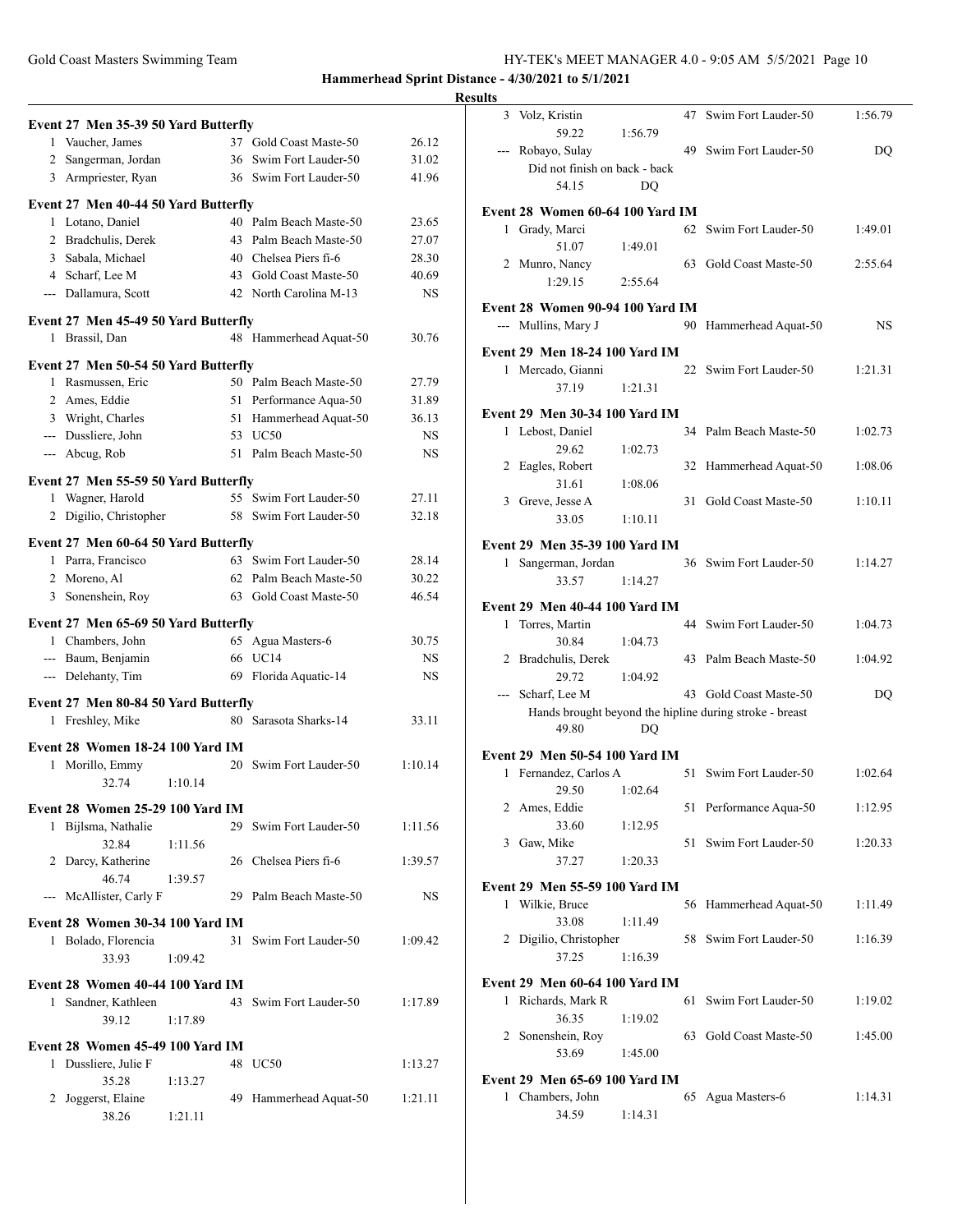### Gold Coast Masters Swimming Team HY-TEK's MEET MANAGER 4.0 - 9:05 AM 5/5/2021 Page 10

|              | Event 27 Men 35-39 50 Yard Butterfly |         |                        |         |
|--------------|--------------------------------------|---------|------------------------|---------|
|              | 1 Vaucher, James                     |         | 37 Gold Coast Maste-50 | 26.12   |
|              | 2 Sangerman, Jordan                  |         | 36 Swim Fort Lauder-50 | 31.02   |
|              | 3 Armpriester, Ryan                  |         | 36 Swim Fort Lauder-50 | 41.96   |
|              | Event 27 Men 40-44 50 Yard Butterfly |         |                        |         |
|              | 1 Lotano, Daniel                     |         | 40 Palm Beach Maste-50 | 23.65   |
|              | 2 Bradchulis, Derek                  |         | 43 Palm Beach Maste-50 | 27.07   |
|              | 3 Sabala, Michael                    |         | 40 Chelsea Piers fi-6  | 28.30   |
|              | 4 Scharf, Lee M                      |         | 43 Gold Coast Maste-50 | 40.69   |
|              | --- Dallamura, Scott                 |         | 42 North Carolina M-13 | NS      |
|              | Event 27 Men 45-49 50 Yard Butterfly |         |                        |         |
| 1            | Brassil, Dan                         |         | 48 Hammerhead Aquat-50 | 30.76   |
|              | Event 27 Men 50-54 50 Yard Butterfly |         |                        |         |
|              | 1 Rasmussen, Eric                    |         | 50 Palm Beach Maste-50 | 27.79   |
|              | 2 Ames, Eddie                        |         | 51 Performance Aqua-50 | 31.89   |
|              | 3 Wright, Charles                    |         | 51 Hammerhead Aquat-50 | 36.13   |
|              | --- Dussliere, John                  |         | 53 UC50                | NS.     |
|              | --- Abcug, Rob                       |         | 51 Palm Beach Maste-50 | NS.     |
|              | Event 27 Men 55-59 50 Yard Butterfly |         |                        |         |
|              | 1 Wagner, Harold                     |         | 55 Swim Fort Lauder-50 | 27.11   |
|              | 2 Digilio, Christopher               |         | 58 Swim Fort Lauder-50 | 32.18   |
|              | Event 27 Men 60-64 50 Yard Butterfly |         |                        |         |
|              | 1 Parra, Francisco                   |         | 63 Swim Fort Lauder-50 | 28.14   |
|              | 2 Moreno, Al                         |         | 62 Palm Beach Maste-50 | 30.22   |
|              | 3 Sonenshein, Roy                    |         | 63 Gold Coast Maste-50 | 46.54   |
|              | Event 27 Men 65-69 50 Yard Butterfly |         |                        |         |
|              | 1 Chambers, John                     |         | 65 Agua Masters-6      | 30.75   |
|              | --- Baum, Benjamin                   |         | 66 UC14                | NS.     |
|              | --- Delehanty, Tim                   |         | 69 Florida Aquatic-14  | NS.     |
|              | Event 27 Men 80-84 50 Yard Butterfly |         |                        |         |
|              | 1 Freshley, Mike                     |         | 80 Sarasota Sharks-14  | 33.11   |
|              | Event 28 Women 18-24 100 Yard IM     |         |                        |         |
| 1            | Morillo, Emmy                        |         | 20 Swim Fort Lauder-50 | 1:10.14 |
|              | 32.74                                | 1:10.14 |                        |         |
|              | Event 28 Women 25-29 100 Yard IM     |         |                        |         |
|              | 1 Bijlsma, Nathalie                  |         | 29 Swim Fort Lauder-50 | 1:11.56 |
|              | 32.84                                | 1:11.56 |                        |         |
|              | 2 Darcy, Katherine                   |         | 26 Chelsea Piers fi-6  | 1:39.57 |
|              | 46.74                                | 1:39.57 |                        |         |
|              | --- McAllister, Carly F              |         | 29 Palm Beach Maste-50 | NS.     |
|              | Event 28 Women 30-34 100 Yard IM     |         |                        |         |
|              | 1 Bolado, Florencia                  |         | 31 Swim Fort Lauder-50 | 1:09.42 |
|              | 33.93                                | 1:09.42 |                        |         |
|              | Event 28 Women 40-44 100 Yard IM     |         |                        |         |
| $\mathbf{1}$ | Sandner, Kathleen                    |         | 43 Swim Fort Lauder-50 | 1:17.89 |
|              | 39.12                                | 1:17.89 |                        |         |
|              | Event 28 Women 45-49 100 Yard IM     |         |                        |         |
|              | 1 Dussliere, Julie F                 |         | 48 UC50                | 1:13.27 |
|              | 35.28                                | 1:13.27 |                        |         |
|              | 2 Joggerst, Elaine                   |         | 49 Hammerhead Aquat-50 | 1:21.11 |
|              | 38.26                                | 1:21.11 |                        |         |

| <b>Results</b> |                                                          |         |                                                         |         |
|----------------|----------------------------------------------------------|---------|---------------------------------------------------------|---------|
|                | 3 Volz, Kristin<br>59.22                                 | 1:56.79 | 47 Swim Fort Lauder-50                                  | 1:56.79 |
|                | --- Robayo, Sulay                                        |         | 49 Swim Fort Lauder-50                                  | DQ      |
|                | Did not finish on back - back                            |         |                                                         |         |
|                | 54.15                                                    | DQ      |                                                         |         |
|                | Event 28 Women 60-64 100 Yard IM                         |         |                                                         |         |
|                | 1 Grady, Marci                                           |         | 62 Swim Fort Lauder-50                                  | 1:49.01 |
|                | 51.07                                                    | 1:49.01 |                                                         |         |
|                | 2 Munro, Nancy                                           |         | 63 Gold Coast Maste-50                                  | 2:55.64 |
|                | 1:29.15                                                  | 2:55.64 |                                                         |         |
|                | Event 28 Women 90-94 100 Yard IM                         |         |                                                         |         |
|                | --- Mullins, Mary J                                      |         | 90 Hammerhead Aquat-50                                  | NS.     |
|                | <b>Event 29 Men 18-24 100 Yard IM</b>                    |         |                                                         |         |
|                | 1 Mercado, Gianni                                        |         | 22 Swim Fort Lauder-50                                  | 1:21.31 |
|                | 37.19                                                    | 1:21.31 |                                                         |         |
|                | <b>Event 29 Men 30-34 100 Yard IM</b>                    |         |                                                         |         |
|                | 1 Lebost, Daniel                                         |         | 34 Palm Beach Maste-50                                  | 1:02.73 |
|                | 29.62                                                    | 1:02.73 |                                                         |         |
|                | 2 Eagles, Robert<br>31.61                                | 1:08.06 | 32 Hammerhead Aquat-50                                  | 1:08.06 |
|                | 3 Greve, Jesse A                                         |         | 31 Gold Coast Maste-50                                  | 1:10.11 |
|                | 33.05                                                    | 1:10.11 |                                                         |         |
|                | Event 29 Men 35-39 100 Yard IM                           |         |                                                         |         |
|                | 1 Sangerman, Jordan                                      |         | 36 Swim Fort Lauder-50                                  | 1:14.27 |
|                | 33.57                                                    | 1:14.27 |                                                         |         |
|                | Event 29 Men 40-44 100 Yard IM                           |         |                                                         |         |
|                | 1 Torres, Martin                                         |         | 44 Swim Fort Lauder-50                                  | 1:04.73 |
|                | 30.84                                                    | 1:04.73 |                                                         |         |
|                | 2 Bradchulis, Derek                                      |         | 43 Palm Beach Maste-50                                  | 1:04.92 |
|                | 29.72<br>--- Scharf, Lee M                               | 1:04.92 | 43 Gold Coast Maste-50                                  | DQ      |
|                |                                                          |         | Hands brought beyond the hipline during stroke - breast |         |
|                | 49.80                                                    | DQ      |                                                         |         |
|                | <b>Event 29 Men 50-54 100 Yard IM</b>                    |         |                                                         |         |
|                | 1 Fernandez, Carlos A                                    |         | 51 Swim Fort Lauder-50                                  | 1:02.64 |
|                | 29.50                                                    | 1:02.64 |                                                         |         |
|                | 2 Ames, Eddie                                            |         | 51 Performance Aqua-50                                  | 1:12.95 |
|                | 33.60                                                    | 1:12.95 |                                                         |         |
|                | 3 Gaw, Mike<br>37.27                                     | 1:20.33 | 51 Swim Fort Lauder-50                                  | 1:20.33 |
|                |                                                          |         |                                                         |         |
|                | <b>Event 29 Men 55-59 100 Yard IM</b><br>1 Wilkie, Bruce |         |                                                         |         |
|                | 33.08                                                    | 1:11.49 | 56 Hammerhead Aquat-50                                  | 1:11.49 |
|                | 2 Digilio, Christopher                                   |         | 58 Swim Fort Lauder-50                                  | 1:16.39 |
|                | 37.25                                                    | 1:16.39 |                                                         |         |
|                | <b>Event 29 Men 60-64 100 Yard IM</b>                    |         |                                                         |         |
|                | 1 Richards, Mark R                                       |         | 61 Swim Fort Lauder-50                                  | 1:19.02 |
|                | 36.35                                                    | 1:19.02 |                                                         |         |
|                | 2 Sonenshein, Roy                                        |         | 63 Gold Coast Maste-50                                  | 1:45.00 |
|                | 53.69                                                    | 1:45.00 |                                                         |         |
|                | Event 29 Men 65-69 100 Yard IM                           |         |                                                         |         |
|                | 1 Chambers, John                                         |         | 65 Agua Masters-6                                       | 1:14.31 |
|                | 34.59                                                    | 1:14.31 |                                                         |         |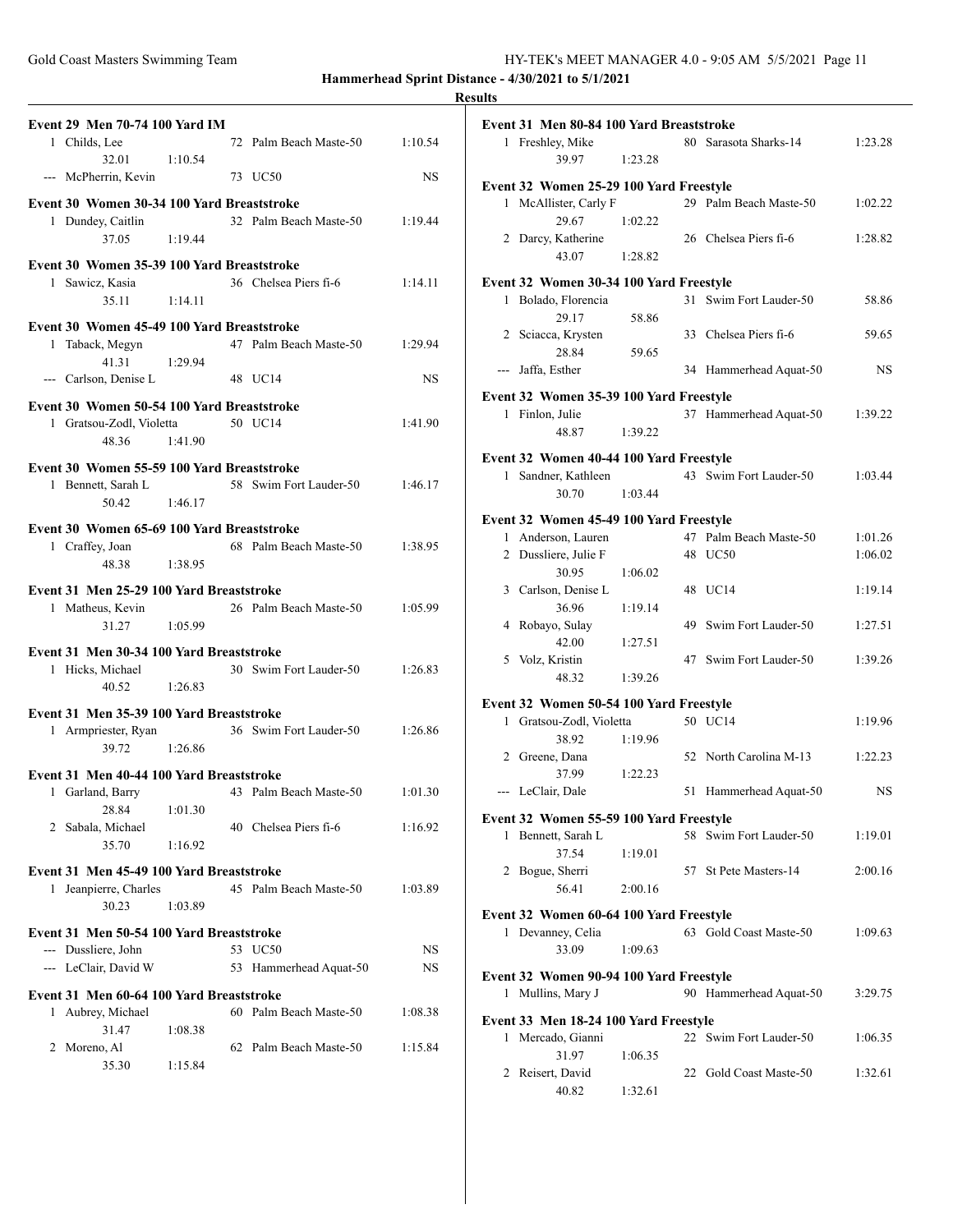| Gold Coast Masters Swimming Team | HY-TEK's MEET MANAGER 4.0 - 9:05 AM 5/5/2021 Page 11 |
|----------------------------------|------------------------------------------------------|
|----------------------------------|------------------------------------------------------|

|                                                                        |         |                                                    |           | resum |
|------------------------------------------------------------------------|---------|----------------------------------------------------|-----------|-------|
| <b>Event 29 Men 70-74 100 Yard IM</b><br>1 Childs, Lee                 |         | 72 Palm Beach Maste-50                             | 1:10.54   | E١    |
| 32.01<br>--- McPherrin, Kevin 73 UC50                                  | 1:10.54 |                                                    | <b>NS</b> | E١    |
| Event 30 Women 30-34 100 Yard Breaststroke                             |         |                                                    |           |       |
| 1 Dundey, Caitlin                                                      |         | 32 Palm Beach Maste-50 1:19.44                     |           |       |
| 37.05                                                                  | 1:19.44 |                                                    |           |       |
| Event 30 Women 35-39 100 Yard Breaststroke                             |         |                                                    |           |       |
| 1 Sawicz, Kasia                                                        |         | 36 Chelsea Piers fi-6                              | 1:14.11   | E١    |
| 35.11                                                                  | 1:14.11 |                                                    |           |       |
| Event 30 Women 45-49 100 Yard Breaststroke                             |         |                                                    |           |       |
| 1 Taback, Megyn                                                        |         | 47 Palm Beach Maste-50 1:29.94                     |           |       |
| 41.31                                                                  | 1:29.94 |                                                    |           |       |
| --- Carlson, Denise L                                                  |         | 48 UC14                                            | <b>NS</b> |       |
| Event 30 Women 50-54 100 Yard Breaststroke                             |         |                                                    |           | E١    |
| 1 Gratsou-Zodl, Violetta 50 UC14                                       |         |                                                    | 1:41.90   |       |
| 48.36                                                                  | 1:41.90 |                                                    |           |       |
|                                                                        |         |                                                    |           |       |
| Event 30 Women 55-59 100 Yard Breaststroke                             |         |                                                    |           |       |
| 1 Bennett, Sarah L                                                     |         | 58 Swim Fort Lauder-50                             | 1:46.17   |       |
| 50.42                                                                  | 1:46.17 |                                                    |           |       |
| Event 30 Women 65-69 100 Yard Breaststroke                             |         |                                                    |           |       |
| 1 Craffey, Joan                                                        |         | 68 Palm Beach Maste-50 1:38.95                     |           |       |
| 48.38                                                                  | 1:38.95 |                                                    |           |       |
| Event 31 Men 25-29 100 Yard Breaststroke                               |         |                                                    |           |       |
| 1 Matheus, Kevin                                                       |         | 26 Palm Beach Maste-50                             | 1:05.99   |       |
| 31.27                                                                  | 1:05.99 |                                                    |           |       |
|                                                                        |         |                                                    |           |       |
| Event 31 Men 30-34 100 Yard Breaststroke                               |         |                                                    |           |       |
| 1 Hicks, Michael                                                       | 1:26.83 | 30 Swim Fort Lauder-50 1:26.83                     |           |       |
| 40.52                                                                  |         |                                                    |           |       |
| Event 31 Men 35-39 100 Yard Breaststroke                               |         |                                                    |           |       |
|                                                                        |         | 1 Armpriester, Ryan 36 Swim Fort Lauder-50 1:26.86 |           |       |
| 39.72 1:26.86                                                          |         |                                                    |           |       |
| Event 31 Men 40-44 100 Yard Breaststroke                               |         |                                                    |           |       |
| 1 Garland, Barry                                                       |         | 43 Palm Beach Maste-50                             | 1:01.30   |       |
| 28.84                                                                  | 1:01.30 |                                                    |           |       |
| 2 Sabala, Michael                                                      |         | 40 Chelsea Piers fi-6                              | 1:16.92   |       |
| 35.70                                                                  | 1:16.92 |                                                    |           |       |
| Event 31 Men 45-49 100 Yard Breaststroke                               |         |                                                    |           |       |
| 1 Jeanpierre, Charles                                                  |         | 45 Palm Beach Maste-50                             | 1:03.89   |       |
| 30.23                                                                  | 1:03.89 |                                                    |           |       |
|                                                                        |         |                                                    |           |       |
| Event 31 Men 50-54 100 Yard Breaststroke                               |         |                                                    |           |       |
| --- Dussliere, John                                                    |         | 53 UC50                                            | NS        |       |
|                                                                        |         | 53 Hammerhead Aquat-50                             | NS.       |       |
| --- LeClair, David W                                                   |         |                                                    |           |       |
|                                                                        |         |                                                    |           |       |
|                                                                        |         | 60 Palm Beach Maste-50                             | 1:08.38   |       |
| Event 31 Men 60-64 100 Yard Breaststroke<br>1 Aubrey, Michael<br>31.47 | 1:08.38 |                                                    |           |       |
| 2 Moreno, Al                                                           |         | 62 Palm Beach Maste-50                             | 1:15.84   |       |

|   | Event 31 Men 80-84 100 Yard Breaststroke                       |         |    |                        |         |
|---|----------------------------------------------------------------|---------|----|------------------------|---------|
|   | 1 Freshley, Mike<br>39.97                                      | 1:23.28 |    | 80 Sarasota Sharks-14  | 1:23.28 |
|   | Event 32 Women 25-29 100 Yard Freestyle                        |         |    |                        |         |
|   | 1 McAllister, Carly F                                          |         |    | 29 Palm Beach Maste-50 | 1:02.22 |
|   | 29.67                                                          | 1:02.22 |    |                        |         |
|   | 2 Darcy, Katherine                                             |         |    | 26 Chelsea Piers fi-6  | 1:28.82 |
|   | 43.07                                                          | 1:28.82 |    |                        |         |
|   |                                                                |         |    |                        |         |
|   | Event 32 Women 30-34 100 Yard Freestyle                        |         |    |                        |         |
|   | 1 Bolado, Florencia                                            |         | 31 | Swim Fort Lauder-50    | 58.86   |
|   | 29.17                                                          | 58.86   |    |                        |         |
|   | 2 Sciacca, Krysten                                             |         |    | 33 Chelsea Piers fi-6  | 59.65   |
|   | 28.84                                                          | 59.65   |    |                        |         |
|   | --- Jaffa, Esther                                              |         |    | 34 Hammerhead Aquat-50 | NS      |
|   | Event 32 Women 35-39 100 Yard Freestyle                        |         |    |                        |         |
|   | 1 Finlon, Julie                                                |         |    | 37 Hammerhead Aquat-50 | 1:39.22 |
|   | 48.87                                                          | 1:39.22 |    |                        |         |
|   |                                                                |         |    |                        |         |
|   | Event 32 Women 40-44 100 Yard Freestyle<br>1 Sandner, Kathleen |         |    | 43 Swim Fort Lauder-50 | 1:03.44 |
|   | 30.70                                                          | 1:03.44 |    |                        |         |
|   |                                                                |         |    |                        |         |
|   | Event 32 Women 45-49 100 Yard Freestyle                        |         |    |                        |         |
|   | 1 Anderson, Lauren                                             |         |    | 47 Palm Beach Maste-50 | 1:01.26 |
|   | 2 Dussliere, Julie F                                           |         |    | 48 UC50                | 1:06.02 |
|   | 30.95                                                          | 1:06.02 |    |                        |         |
|   | 3 Carlson, Denise L                                            |         |    | 48 UC14                | 1:19.14 |
|   | 36.96                                                          | 1:19.14 |    |                        |         |
|   | 4 Robayo, Sulay                                                |         |    | 49 Swim Fort Lauder-50 | 1:27.51 |
|   | 42.00                                                          | 1:27.51 |    |                        |         |
|   | 5 Volz, Kristin                                                |         |    | 47 Swim Fort Lauder-50 | 1:39.26 |
|   | 48.32                                                          | 1:39.26 |    |                        |         |
|   | Event 32 Women 50-54 100 Yard Freestyle                        |         |    |                        |         |
|   | 1 Gratsou-Zodl, Violetta                                       |         |    | 50 UC14                | 1:19.96 |
|   | 38.92                                                          | 1:19.96 |    |                        |         |
|   | 2 Greene, Dana                                                 |         |    | 52 North Carolina M-13 | 1:22.23 |
|   | 37.99                                                          | 1:22.23 |    |                        |         |
|   | --- LeClair, Dale                                              |         | 51 | Hammerhead Aquat-50    | NS.     |
|   |                                                                |         |    |                        |         |
|   | Event 32 Women 55-59 100 Yard Freestyle                        |         |    |                        |         |
| 1 | Bennett, Sarah L                                               |         |    | 58 Swim Fort Lauder-50 | 1:19.01 |
|   | 37.54                                                          | 1:19.01 |    |                        |         |
|   | 2 Bogue, Sherri                                                |         |    | 57 St Pete Masters-14  | 2:00.16 |
|   | 56.41                                                          | 2:00.16 |    |                        |         |
|   | Event 32 Women 60-64 100 Yard Freestyle                        |         |    |                        |         |
| 1 | Devanney, Celia                                                |         |    | 63 Gold Coast Maste-50 | 1:09.63 |
|   | 33.09                                                          | 1:09.63 |    |                        |         |
|   | Event 32 Women 90-94 100 Yard Freestyle                        |         |    |                        |         |
|   | 1 Mullins, Mary J                                              |         |    | 90 Hammerhead Aquat-50 | 3:29.75 |
|   |                                                                |         |    |                        |         |
|   | Event 33 Men 18-24 100 Yard Freestyle                          |         |    |                        |         |
|   | 1 Mercado, Gianni                                              |         |    | 22 Swim Fort Lauder-50 | 1:06.35 |
|   | 31.97                                                          | 1:06.35 |    |                        |         |
|   | 2 Reisert, David                                               |         |    | 22 Gold Coast Maste-50 | 1:32.61 |
|   | 40.82                                                          | 1:32.61 |    |                        |         |